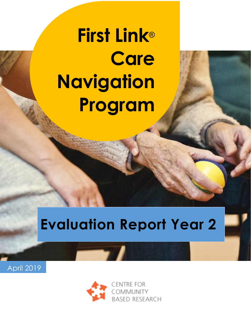# **First Link**® **Care Navigation Program**

**Evaluation** 

# **Evaluation Report Year 2**



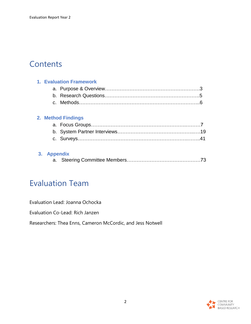# **Contents**

|  | <b>1. Evaluation Framework</b> |                    |  |
|--|--------------------------------|--------------------|--|
|  |                                |                    |  |
|  |                                |                    |  |
|  |                                |                    |  |
|  |                                | 2. Method Findings |  |
|  |                                |                    |  |

#### **3. Appendix**

# Evaluation Team

Evaluation Lead: Joanna Ochocka

Evaluation Co-Lead: Rich Janzen

Researchers: Thea Enns, Cameron McCordic, and Jess Notwell

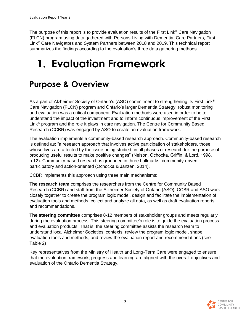The purpose of this report is to provide evaluation results of the First Link<sup>®</sup> Care Navigation (FLCN) program using data gathered with Persons Living with Dementia, Care Partners, First Link® Care Navigators and System Partners between 2018 and 2019. This technical report summarizes the findings according to the evaluation's three data gathering methods.

# **1. Evaluation Framework**

# **Purpose & Overview**

As a part of Alzheimer Society of Ontario's (ASO) commitment to strengthening its First Link<sup>®</sup> Care Navigation (FLCN) program and Ontario's larger Dementia Strategy, robust monitoring and evaluation was a critical component. Evaluation methods were used in order to better understand the impact of the investment and to inform continuous improvement of the First Link® program and the role it plays in care navigation. The Centre for Community Based Research (CCBR) was engaged by ASO to create an evaluation framework.

The evaluation implements a community-based research approach. Community-based research is defined as: "a research approach that involves active participation of stakeholders, those whose lives are affected by the issue being studied, in all phases of research for the purpose of producing useful results to make positive changes" (Nelson, Ochocka, Griffin, & Lord, 1998, p.12). Community-based research is grounded in three hallmarks: community-driven, participatory and action-oriented (Ochocka & Janzen, 2014).

CCBR implements this approach using three main mechanisms:

**The research team** comprises the researchers from the Centre for Community Based Research (CCBR) and staff from the Alzheimer Society of Ontario (ASO). CCBR and ASO work closely together to create the program logic model, design and facilitate the implementation of evaluation tools and methods, collect and analyze all data, as well as draft evaluation reports and recommendations.

**The steering committee** comprises 8-12 members of stakeholder groups and meets regularly during the evaluation process. This steering committee's role is to guide the evaluation process and evaluation products. That is, the steering committee assists the research team to understand local Alzheimer Societies' contexts, review the program logic model, shape evaluation tools and methods, and review the evaluation report and recommendations (see Table 2)

Key representatives from the Ministry of Health and Long-Term Care were engaged to ensure that the evaluation framework, progress and learning are aligned with the overall objectives and evaluation of the Ontario Dementia Strategy.

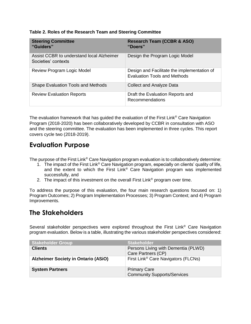| <b>Steering Committee</b><br>"Guiders"                           | <b>Research Team (CCBR &amp; ASO)</b><br>"Doers"                                   |
|------------------------------------------------------------------|------------------------------------------------------------------------------------|
| Assist CCBR to understand local Alzheimer<br>Societies' contexts | Design the Program Logic Model                                                     |
| Review Program Logic Model                                       | Design and Facilitate the implementation of<br><b>Evaluation Tools and Methods</b> |
| <b>Shape Evaluation Tools and Methods</b>                        | <b>Collect and Analyze Data</b>                                                    |
| <b>Review Evaluation Reports</b>                                 | Draft the Evaluation Reports and<br>Recommendations                                |

#### **Table 2. Roles of the Research Team and Steering Committee**

The evaluation framework that has guided the evaluation of the First Link® Care Navigation Program (2018-2020) has been collaboratively developed by CCBR in consultation with ASO and the steering committee. The evaluation has been implemented in three cycles. This report covers cycle two (2018-2019).

### **Evaluation Purpose**

The purpose of the First Link<sup>®</sup> Care Navigation program evaluation is to collaboratively determine:

- 1. The impact of the First Link® Care Navigation program, especially on clients' quality of life, and the extent to which the First Link® Care Navigation program was implemented successfully, and
- 2. The impact of this investment on the overall First Link® program over time.

To address the purpose of this evaluation, the four main research questions focused on: 1) Program Outcomes; 2) Program Implementation Processes; 3) Program Context; and 4) Program Improvements.

### **The Stakeholders**

Several stakeholder perspectives were explored throughout the First Link® Care Navigation program evaluation. Below is a table, illustrating the various stakeholder perspectives considered:

| <b>Stakeholder Group</b>                   | <b>Stakeholder</b>                                        |
|--------------------------------------------|-----------------------------------------------------------|
| <b>Clients</b>                             | Persons Living with Dementia (PLWD)<br>Care Partners (CP) |
| <b>Alzheimer Society in Ontario (ASiO)</b> | First Link <sup>®</sup> Care Navigators (FLCNs)           |
| <b>System Partners</b>                     | <b>Primary Care</b><br><b>Community Supports/Services</b> |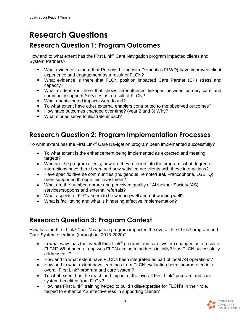# **Research Questions**

# **Research Question 1: Program Outcomes**

How and to what extent has the First Link® Care Navigation program impacted clients and System Partners?

- What evidence is there that Persons Living with Dementia (PLWD) have improved client experience and engagement as a result of FLCN?
- What evidence is there that FLCN position impacted Care Partner (CP) stress and capacity?
- What evidence is there that shows strengthened linkages between primary care and community supports/services as a result of FLCN?
- What unanticipated impacts were found?
- To what extent have other external enablers contributed to the observed outcomes?
- How have outcomes changed over time? (year 2 and 3) Why?
- What stories serve to illustrate impact?

### **Research Question 2: Program Implementation Processes**

To what extent has the First Link® Care Navigation program been implemented successfully?

- To what extent is the enhancement being implemented as expected and meeting targets?
- Who are the program clients, how are they referred into the program, what degree of interactions have there been, and how satisfied are clients with these interactions?
- Have specific diverse communities (Indigenous, remote/rural, Francophone, LGBTQ) been supported through this investment?
- What are the number, nature and perceived quality of Alzheimer Society (AS) services/supports and external referrals?
- What aspects of FLCN seem to be working well and not working well?
- What is facilitating and what is hindering effective implementation?

## **Research Question 3: Program Context**

How has the First Link<sup>®</sup> Care Navigation program impacted the overall First Link<sup>®</sup> program and Care System over time (throughout 2018-2020)?

- In what ways has the overall First Link® program and care system changed as a result of FLCN? What need or gap was FLCN aiming to address initially? Has FLCN successfully addressed it?
- How and to what extent have FLCNs been integrated as part of local AS operations?
- How and to what extent have learnings from FLCN evaluation been incorporated into overall First Link® program and care system?
- To what extent has the reach and impact of the overall First Link<sup>®</sup> program and care system benefited from FLCN?
- How has First Link® training helped to build skills/expertise for FLCN's in their role, helped to enhance AS effectiveness in supporting clients?

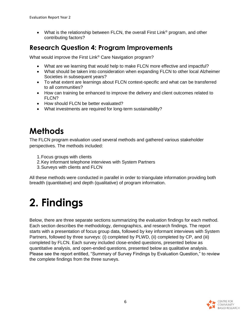• What is the relationship between FLCN, the overall First Link<sup>®</sup> program, and other contributing factors?

## **Research Question 4: Program Improvements**

What would improve the First Link® Care Navigation program?

- What are we learning that would help to make FLCN more effective and impactful?
- What should be taken into consideration when expanding FLCN to other local Alzheimer Societies in subsequent years?
- To what extent are learnings about FLCN context-specific and what can be transferred to all communities?
- How can training be enhanced to improve the delivery and client outcomes related to FLCN?
- How should FLCN be better evaluated?
- What investments are required for long-term sustainability?

# **Methods**

The FLCN program evaluation used several methods and gathered various stakeholder perspectives. The methods included:

- 1.Focus groups with clients
- 2.Key informant telephone interviews with System Partners
- 3.Surveys with clients and FLCN

All these methods were conducted in parallel in order to triangulate information providing both breadth (quantitative) and depth (qualitative) of program information.

# **2. Findings**

Below, there are three separate sections summarizing the evaluation findings for each method. Each section describes the methodology, demographics, and research findings. The report starts with a presentation of focus group data, followed by key informant interviews with System Partners, followed by three surveys: (i) completed by PLWD, (ii) completed by CP, and (iii) completed by FLCN. Each survey included close-ended questions, presented below as quantitative analysis, and open-ended questions, presented below as qualitative analysis. Please see the report entitled, "Summary of Survey Findings by Evaluation Question," to review the complete findings from the three surveys.

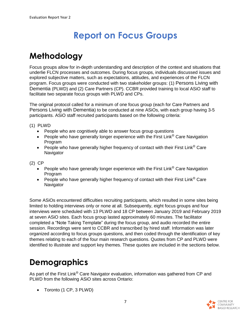# **Report on Focus Groups**

# **Methodology**

Focus groups allow for in-depth understanding and description of the context and situations that underlie FLCN processes and outcomes. During focus groups, individuals discussed issues and explored subjective matters, such as expectations, attitudes, and experiences of the FLCN program. Focus groups were conducted with two stakeholder groups: (1) Persons Living with Dementia (PLWD) and (2) Care Partners (CP). CCBR provided training to local ASiO staff to facilitate two separate focus groups with PLWD and CPs.

The original protocol called for a minimum of one focus group (each for Care Partners and Persons Living with Dementia) to be conducted at nine ASiOs, with each group having 3-5 participants. ASiO staff recruited participants based on the following criteria:

(1) PLWD

- People who are cognitively able to answer focus group questions
- People who have generally longer experience with the First Link<sup>®</sup> Care Navigation Program
- People who have generally higher frequency of contact with their First Link<sup>®</sup> Care **Navigator**

(2) CP

- People who have generally longer experience with the First Link<sup>®</sup> Care Navigation Program
- People who have generally higher frequency of contact with their First Link<sup>®</sup> Care **Navigator**

Some ASiOs encountered difficulties recruiting participants, which resulted in some sites being limited to holding interviews only or none at all. Subsequently, eight focus groups and four interviews were scheduled with 13 PLWD and 18 CP between January 2019 and February 2019 at seven ASiO sites. Each focus group lasted approximately 60 minutes. The facilitator completed a "Note Taking Template" during the focus group, and audio recorded the entire session. Recordings were sent to CCBR and transcribed by hired staff. Information was later organized according to focus groups questions, and then coded through the identification of key themes relating to each of the four main research questions. Quotes from CP and PLWD were identified to illustrate and support key themes. These quotes are included in the sections below.

# **Demographics**

As part of the First Link<sup>®</sup> Care Navigator evaluation, information was gathered from CP and PLWD from the following ASiO sites across Ontario:

• Toronto (1 CP, 3 PLWD)

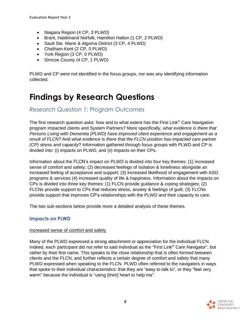- Niagara Region (4 CP, 3 PLWD)
- Brant, Haldimand Norfolk, Hamilton Halton (1 CP, 2 PLWD)
- Sault Ste. Marie & Algoma District (3 CP, 4 PLWD)
- Chatham-Kent (2 CP, 0 PLWD)
- York Region (3 CP, 0 PLWD)
- Simcoe County (4 CP, 1 PLWD)

PLWD and CP were not identified in the focus groups, nor was any identifying information collected.

# **Findings by Research Questions**

#### *Research Question 1: Program Outcomes*

The first research question asks: how and to what extent has the First Link® Care Navigation program impacted clients and System Partners? More specifically, w*hat evidence is there that Persons Living with Dementia (PLWD) have improved client experience and engagement as a result of FLCN?* And w*hat evidence is there that the FLCN position has impacted care partner (CP) stress and capacity*? Information gathered through focus groups with PLWD and CP is divided into: (i) impacts on PLWD, and (ii) impacts on their CPs.

Information about the FLCN's impact on PLWD is divided into four key themes: (1) increased sense of comfort and safety; (2) decreased feelings of isolation & loneliness alongside an increased feeling of acceptance and support; (3) increased likelihood of engagement with ASO programs & services (4) increased quality of life & happiness. Information about the impacts on CPs is divided into three key themes: (1) FLCN provide guidance & coping strategies; (2) FLCNs provide support to CPs that reduces stress, anxiety & feelings of guilt; (3) FLCNs provide support that improves CP's relationships with the PLWD and their capacity to care.

The two sub-sections below provide more a detailed analysis of these themes.

#### **Impacts on PLWD**

#### Increased sense of comfort and safety

Many of the PLWD expressed a strong attachment or appreciation for the individual FLCN. Indeed, each participant did not refer to said individual as the "First Link® Care Navigator", but rather by their first name. This speaks to the close relationship that is often formed between clients and the FLCN, and further reflects a certain degree of comfort and safety that many PLWD expressed when speaking to the FLCN. PLWD often referred to the navigators in ways that spoke to their individual characteristics: that they are "easy to talk to", or they "feel very warm" because the individual is "using [their] heart to help me".

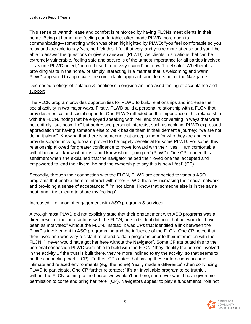This sense of warmth, ease and comfort is reinforced by having FLCNs meet clients in their home. Being at home, and feeling comfortable, often made PLWD more open to communicating—something which was often highlighted by PLWD: "you feel comfortable so you relax and are able to say 'yes, no I felt this, I felt that way' and you're more at ease and you'll be able to answer the questions or give an answer" (PLWD). As clients in situations that can be extremely vulnerable, feeling safe and secure is of the utmost importance for all parties involved — as one PLWD noted, "before I used to be very scared" but now "I feel safe". Whether it is providing visits in the home, or simply interacting in a manner that is welcoming and warm, PLWD appeared to appreciate the comfortable approach and demeanor of the Navigators.

#### Decreased feelings of isolation & loneliness alongside an increased feeling of acceptance and support

The FLCN program provides opportunities for PLWD to build relationships and increase their social activity in two major ways. Firstly, PLWD build a personal relationship with a FLCN that provides medical and social supports. One PLWD reflected on the importance of his relationship with the FLCN, noting that he enjoyed speaking with her, and that conversing in ways that were not entirely "business-like" but addressed personal interests, such as cooking. PLWD expressed appreciation for having someone else to walk beside them in their dementia journey: "we are not doing it alone". Knowing that there is someone that accepts them for who they are and can provide support moving forward proved to be hugely beneficial for some PLWD. For some, this relationship allowed for greater confidence to move forward with their lives: "I am comfortable with it because I know what it is, and I know what's going on" (PLWD). One CP echoed this sentiment when she explained that the navigator helped their loved one feel accepted and empowered to lead their lives: "he had the ownership to say this is how I feel" (CP).

Secondly, through their connection with the FLCN, PLWD are connected to various ASO programs that enable them to interact with other PLWD, thereby increasing their social network and providing a sense of acceptance: ""I'm not alone, I know that someone else is in the same boat, and I try to learn to share my feelings".

#### Increased likelihood of engagement with ASO programs & services

Although most PLWD did not explicitly state that their engagement with ASO programs was a direct result of their interactions with the FLCN, one individual did note that he "wouldn't have been as motivated" without the FLCN. Instead, it was CPs that identified a link between the PLWD's involvement in ASO programming and the influence of the FLCN. One CP noted that their loved one was very resistant to attend certain programs prior to their interaction with the FLCN: "I never would have got her here without the Navigator". Some CP attributed this to the personal connection PLWD were able to build with the FLCN: "they identify the person involved in the activity...if the trust is built there, they're more inclined to try the activity, so that seems to be the connecting [part]" (CP). Further, CPs noted that having these interactions occur in intimate and relaxed environments (e.g. the home) "really made a difference" when convincing PLWD to participate. One CP further reiterated: "It's an invaluable program to be truthful, without the FLCN coming to the house, we wouldn't be here, she never would have given me permission to come and bring her here" (CP). Navigators appear to play a fundamental role not

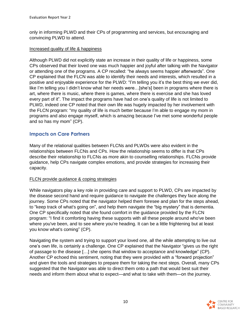only in informing PLWD and their CPs of programming and services, but encouraging and convincing PLWD to attend.

#### Increased quality of life & happiness

Although PLWD did not explicitly state an increase in their quality of life or happiness, some CPs observed that their loved one was much happier and joyful after talking with the Navigator or attending one of the programs. A CP recalled: "he always seems happier afterwards". One CP explained that the FLCN was able to identify their needs and interests, which resulted in a positive and enjoyable experience for the PLWD: "I'm telling you it's the best thing we ever did, like I'm telling you I didn't know what her needs were…[she's] been in programs where there is art, where there is music, where there is games, where there is exercise and she has loved every part of it". The impact the programs have had on one's quality of life is not limited to PLWD, indeed one CP noted that their own life was hugely impacted by her involvement with the FLCN program: "my quality of life is much better because I'm able to engage my mom in programs and also engage myself, which is amazing because I've met some wonderful people and so has my mom" (CP).

#### **Impacts on Care Partners**

Many of the relational qualities between FLCNs and PLWDs were also evident in the relationships between FLCNs and CPs. How the relationship seems to differ is that CPs describe their relationship to FLCNs as more akin to counselling relationships. FLCNs provide guidance, help CPs navigate complex emotions, and provide strategies for increasing their capacity.

#### FLCN provide guidance & coping strategies

While navigators play a key role in providing care and support to PLWD, CPs are impacted by the disease second hand and require guidance to navigate the challenges they face along the journey. Some CPs noted that the navigator helped them foresee and plan for the steps ahead, to "keep track of what's going on", and help them navigate the "big mystery" that is dementia. One CP specifically noted that she found comfort in the guidance provided by the FLCN program: "I find it comforting having these supports with all these people around who've been where you've been, and to see where you're heading. It can be a little frightening but at least you know what's coming" (CP).

Navigating the system and trying to support your loved one, all the while attempting to live out one's own life, is certainly a challenge. One CP explained that the Navigator "gives us the right of passage to the disease […] she opens that window to acceptance and knowledge" (CP). Another CP echoed this sentiment, noting that they were provided with a "forward projection" and given the tools and strategies to prepare them for taking the next steps. Overall, many CPs suggested that the Navigator was able to direct them onto a path that would best suit their needs and inform them about what to expect—and what to take with them—on the journey.

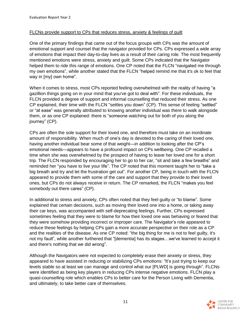#### FLCNs provide support to CPs that reduces stress, anxiety & feelings of guilt

One of the primary findings that came out of the focus groups with CPs was the amount of emotional support and counsel that the navigator provided for CPs. CPs expressed a wide array of emotions that impact their day-to-day lives as a result of their caring role. The most frequently mentioned emotions were stress, anxiety and guilt. Some CPs indicated that the Navigator helped them to ride this range of emotions. One CP noted that the FLCN "navigated me through my own emotions", while another stated that the FLCN "helped remind me that it's ok to feel that way in [my] own home".

When it comes to stress, most CPs reported feeling overwhelmed with the reality of having "a gazillion things going on in your mind that you've got to deal with". For these individuals, the FLCN provided a degree of support and informal counselling that reduced their stress. As one CP explained, their time with the FLCN "settles you down" (CP). This sense of feeling "settled" or "at ease" was generally attributed to knowing another individual was there to walk alongside them, or as one CP explained: there is "someone watching out for both of you along the journey" (CP).

CPs are often the sole support for their loved one, and therefore must take on an inordinate amount of responsibility. When much of one's day is devoted to the caring of their loved one, having another individual bear some of that weight—in addition to looking after the CP's emotional needs—appears to have a profound impact on CPs wellbeing. One CP recalled a time when she was overwhelmed by the prospect of having to leave her loved one for a short trip. The FLCN responded by encouraging her to go to her car, "sit and take a few breaths" and reminded her "you have to live your life". The CP noted that this moment taught her to "take a big breath and try and let the frustration get out". For another CP, being in touch with the FLCN appeared to provide them with some of the care and support that they provide to their loved ones, but CPs do not always receive in return. The CP remarked, the FLCN "makes you feel somebody out there cares" (CP).

In additional to stress and anxiety, CPs often noted that they feel guilty or "to blame". Some explained that certain decisions, such as moving their loved one into a home, or taking away their car keys, was accompanied with self-deprecating feelings. Further, CPs expressed sometimes feeling that they were to blame for how their loved one was behaving or feared that they were somehow providing incorrect or improper care. The Navigator's role appeared to reduce these feelings by helping CPs gain a more accurate perspective on their role as a CP and the realities of the disease. As one CP noted: "the big thing for me is not to feel guilty, it's not my fault", while another furthered that "[dementia] has its stages…we've learned to accept it and there's nothing that we did wrong".

Although the Navigators were not expected to completely erase their anxiety or stress, they appeared to have assisted in reducing or stabilizing CPs emotions: "It's just trying to keep our levels stable so at least we can manage and control what our [PLWD] is going through". FLCNs were identified as being key players in reducing CPs intense negative emotions. FLCN play a quasi-counselling role which enables CPs to better care for the Person Living with Dementia, and ultimately, to take better care of themselves.

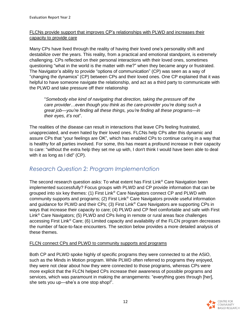#### FLCNs provide support that improves CP's relationships with PLWD and increases their capacity to provide care

Many CPs have lived through the reality of having their loved one's personality shift and destabilize over the years. This reality, from a practical and emotional standpoint, is extremely challenging. CPs reflected on their personal interactions with their loved ones, sometimes questioning "what in the world is the matter with me?" when they became angry or frustrated. The Navigator's ability to provide "options of communication" (CP) was seen as a way of "changing the dynamics" (CP) between CPs and their loved ones. One CP explained that it was helpful to have someone navigate the relationship, and act as a third party to communicate with the PLWD and take pressure off their relationship

"*Somebody else kind of navigating that direction, taking the pressure off the care provider…even though you think as the care-provider you're doing such a great job—you're finding all these things, you're finding all these programs—in their eyes, it's not*".

The realities of the disease can result in interactions that leave CPs feeling frustrated, unappreciated, and even hated by their loved ones. FLCNs help CPs alter this dynamic and assure CPs that "your feelings are OK", which has enabled CPs to continue caring in a way that is healthy for all parties involved. For some, this has meant a profound increase in their capacity to care: "without the extra help they set me up with, I don't think I would have been able to deal with it as long as I did" (CP).

#### *Research Question 2: Program Implementation*

The second research question asks: To what extent has First Link<sup>®</sup> Care Navigation been implemented successfully? Focus groups with PLWD and CP provide information that can be grouped into six key themes: (1) First Link® Care Navigators connect CP and PLWD with community supports and programs; (2) First Link® Care Navigators provide useful information and guidance for PLWD and their CPs; (3) First Link<sup>®</sup> Care Navigators are supporting CPs in ways that increase their capacity to care; (4) PLWD and CP feel comfortable and safe with First Link® Care Navigators; (5) PLWD and CPs living in remote or rural areas face challenges accessing First Link® Care; (6) Limited capacity and availability of the FLCN program decreases the number of face-to-face encounters. The section below provides a more detailed analysis of these themes.

#### FLCN connect CPs and PLWD to community supports and programs

Both CP and PLWD spoke highly of specific programs they were connected to at the ASiO, such as the Minds in Motion program. While PLWD often referred to programs they enjoyed, they were not clear about how they were connected to those programs, whereas CPs were more explicit that the FLCN helped CPs increase their awareness of possible programs and services, which was paramount in making the arrangements: "everything goes through [her], she sets you up—she's a one stop shop!".

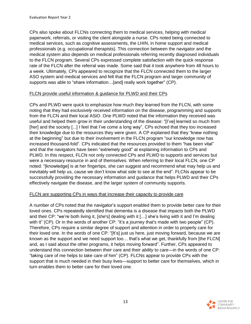CPs also spoke about FLCNs connecting them to medical services, helping with medical paperwork, referrals, or visiting the client alongside a nurse. CPs noted being connected to medical services, such as cognitive assessments, the LHIN, in home support and medical professionals (e.g. occupational therapists). This connection between the navigator and the medical system also depends on medical professionals referring recently diagnosed individuals to the FLCN program. Several CPs expressed complete satisfaction with the quick response rate of the FLCN after the referral was made. Some said that it took anywhere from 48 hours to a week. Ultimately, CPs appeared to recognize that the FLCN connected them to the larger ASO system and medical services and felt that the FLCN program and larger community of supports was able to "share information…[and] really work together" (CP).

#### FLCN provide useful information & guidance for PLWD and their CPs

CPs and PLWD were quick to emphasize how much they learned from the FLCN, with some noting that they had *exclusively* received information on the disease, programming and supports from the FLCN and their local ASiO. One PLWD noted that the information they received was useful and helped them grow in their understanding of the disease: "[I've] learned so much from [her] and the society [...] I feel that I've come a long way". CPs echoed that they too increased their knowledge due to the resources they were given. A CP explained that they "knew nothing at the beginning" but due to their involvement in the FLCN program "our knowledge now has increased thousand-fold". CPs indicated that the resources provided to them "has been vital" and that the navigators have been "extremely good" at explaining information to CPs and PLWD. In this respect, FLCN not only connected CPs and PLWD to supports and services but were a necessary resource in and of themselves. When referring to their local FLCN, one CP noted: "[knowledge] is at her fingertips, she can suggest and recommend what may help us and inevitably will help us, cause we don't know what side to see at the end". FLCNs appear to be successfully providing the necessary information and guidance that helps PLWD and their CPs effectively navigate the disease, and the larger system of community supports.

#### FLCN are supporting CPs in ways that increase their capacity to provide care

A number of CPs noted that the navigator's support enabled them to provide better care for their loved ones. CPs repeatedly identified that dementia is a disease that impacts both the PLWD and their CP: "we're both living it, [she's] dealing with it […] she's living with it and I'm dealing with it" (CP). Or in the words of another CP: "it's a journey that's made with two people" (CP). Therefore, CPs require a similar degree of support and attention in order to properly care for their loved one. In the words of one CP: "[It's] just us here, just moving forward, because we are known as the support and we need support too… that's what we get, thankfully from [the FLCN] and, as I said about the other programs, it helps moving forward". Further, CPs appeared to understand this connection between *their* care and their *ability* to care—in the words of one CP: "taking care of me helps to take care of him" (CP). FLCNs appear to provide CPs with the support that is much needed in their busy lives—support to better care for themselves, which in turn enables them to better care for their loved one.

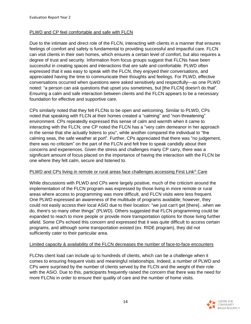#### PLWD and CP feel comfortable and safe with FLCN

Due to the intimate and direct role of the FLCN, interacting with clients in a manner that ensures feelings of comfort and safety is fundamental to providing successful and impactful care. FLCN can visit clients in their own homes, which ensures a certain level of comfort, but also requires a degree of trust and security. Information from focus groups suggest that FLCNs have been successful in creating spaces and interactions that are safe and comfortable. PLWD often expressed that it was easy to speak with the FLCN, they enjoyed their conversations, and appreciated having the time to communicate their thoughts and feelings. For PLWD, effective conversations occurred when questions were asked sensitively and respectfully—as one PLWD noted: "a person can ask questions that upset you sometimes, but [the FLCN] doesn't do that". Ensuring a calm and safe interaction between clients and the FLCN appears to be a necessary foundation for effective and supportive care.

CPs similarly noted that they felt FLCNs to be open and welcoming. Similar to PLWD, CPs noted that speaking with FLCN at their homes created a "calming" and "non-threatening" environment. CPs repeatedly expressed this sense of calm and warmth when it came to interacting with the FLCN; one CP noted the FLCN has a "very calm demeanor in her approach in the sense that she actually listens to you", while another compared the individual to "the calming seas, the safe weather at port". Further, CPs appreciated that there was "no judgement, there was no criticism" on the part of the FLCN and felt free to speak candidly about their concerns and experiences. Given the stress and challenges many CP carry, there was a significant amount of focus placed on the importance of having the interaction with the FLCN be one where they felt calm, secure and listened to.

#### PLWD and CPs living in remote or rural areas face challenges accessing First Link<sup>®</sup> Care

While discussions with PLWD and CPs were largely positive, much of the criticism around the implementation of the FLCN program was expressed by those living in more remote or rural areas where access to programming was more difficult, and FLCN visits were less frequent. One PLWD expressed an awareness of the multitude of programs available; however, they could not easily access their local ASiO due to their location: "we just can't get [there]...when we do, there's so many other things" (PLWD). Others suggested that FLCN programming could be expanded to reach to more people or provide more transportation options for those living further afield. Some CPs echoed this concern and expressed that it was quite difficult to access certain programs, and although some transportation existed (ex. RIDE program), they did not sufficiently cater to their particular area.

#### Limited capacity & availability of the FLCN decreases the number of face-to-face encounters

FLCNs client load can include up to hundreds of clients, which can be a challenge when it comes to ensuring frequent visits and meaningful relationships. Indeed, a number of PLWD and CPs were surprised by the number of clients served by the FLCN and the weight of their role with the ASiO. Due to this, participants frequently raised the concern that there was the need for more FLCNs in order to ensure their quality of care and the number of home visits.

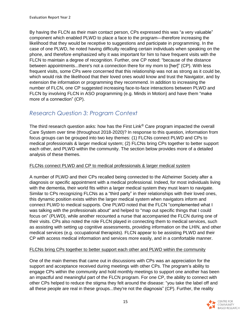By having the FLCN as their main contact person, CPs expressed this was "a very valuable" component which enabled PLWD to place a face to the program—therefore increasing the likelihood that they would be receptive to suggestions and participate in programming. In the case of one PLWD, he noted having difficulty recalling certain individuals when speaking on the phone, and therefore emphasized why it was important for him to have frequent visits with the FLCN to maintain a degree of recognition. Further, one CP noted: "because of the distance between appointments...there's not a connection there for my mom to [her]" (CP). With less frequent visits, some CPs were concerned that this relationship was not as strong as it could be, which would risk the likelihood that their loved ones would know and trust the Navigator, and by extension the information or programming they recommend. In addition to increasing the number of FLCN, one CP suggested increasing face-to-face interactions between PLWD and FLCN by involving FLCN in ASO programming (e.g. Minds in Motion) and have them "make more of a connection" (CP).

### *Research Question 3: Program Context*

The third research question asks: how has the First Link® Care program impacted the overall Care System over time (throughout 2018-2020)? In response to this question, information from focus groups can be grouped into two key themes: (1) FLCNs connect PLWD and CPs to medical professionals & larger medical system; (2) FLCNs bring CPs together to better support each other, and PLWD within the community. The section below provides more of a detailed analysis of these themes.

#### FLCNs connect PLWD and CP to medical professionals & larger medical system

A number of PLWD and their CPs recalled being connected to the Alzheimer Society after a diagnosis or specific appointment with a medical professional. Indeed, for most individuals living with the dementia, their world fits within a larger medical system they must learn to navigate. Similar to CPs recognizing FLCNs as a "third party" in their relationships with their loved ones, this dynamic position exists within the larger medical system when navigators inform and connect PLWD to medical supports. One PLWD noted that the FLCN "complemented what I was talking with the professionals about" and helped to "map out specific things that I could focus on" (PLWD), while another recounted a nurse that accompanied the FLCN during one of their visits. CPs also noted the role FLCN played in connecting them to medical services, such as assisting with setting up cognitive assessments, providing information on the LHIN, and other medical services (e.g. occupational therapists). FLCN appear to be assisting PLWD and their CP with access medical information and services more easily, and in a comfortable manner.

#### FLCNs bring CPs together to better support each other and PLWD within the community

One of the main themes that came out in discussions with CPs was an appreciation for the support and acceptance received during meetings with other CPs. The program's ability to engage CPs within the community and hold monthly meetings to support one another has been an impactful and meaningful part of the FLCN program. For one CP, the ability to connect with other CPs helped to reduce the stigma they felt around the disease: "you take the label off and all these people are real in these groups...they're not the diagnosis" (CP). Further, the reality

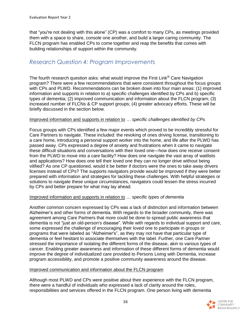that "you're not dealing with this alone" (CP) was a comfort to many CPs, as meetings provided them with a space to share, console one another, and build a larger caring community. The FLCN program has enabled CPs to come together and reap the benefits that comes with building relationships of support within the community.

#### *Research Question 4: Program Improvements*

The fourth research question asks: what would improve the First Link<sup>®</sup> Care Navigation program? There were a few recommendations that were consistent throughout the focus groups with CPs and PLWD. Recommendations can be broken down into four main areas: (1) improved information and supports in relation to a) specific challenges identified by CPs and b) specific types of dementia; (2) improved communication and information about the FLCN program; (3) increased number of FLCNs & CP support groups; (4) greater advocacy efforts. These will be briefly discussed in the section below.

#### Improved information and supports in relation to *… specific challenges identified by CPs*

Focus groups with CPs identified a few major events which proved to be incredibly stressful for Care Partners to navigate. These included: the revoking of ones driving license, transitioning to a care home, introducing a personal support worker into the home, and life after the PLWD has passed away. CPs expressed a degree of anxiety and frustrations when it came to navigate these difficult situations and conversations with their loved one—how does one receive consent from the PLWD to move into a care facility? How does one navigate the vast array of waitlists and applications? How does one tell their loved one they can no longer drive without being vilified? As one CP questioned, would it be better if doctors were the ones to take away drivers licenses instead of CPs? The supports navigators provide would be improved if they were better prepared with information and strategies for tackling these challenges. With helpful strategies or solutions to navigate these unique circumstances, navigators could lessen the stress incurred by CPs and better prepare for what may lay ahead.

#### Improved information and supports in relation to … *specific types of dementia*

Another common concern expressed by CPs was a lack of distinction and information between Alzheimer's and other forms of dementia. With regards to the broader community, there was agreement among Care Partners that more could be done to spread public awareness that dementia is not "just an old-person's disease". While with regards to individual support and care, some expressed the challenge of encouraging their loved one to participate in groups or programs that were labeled as "Alzheimer's", as they may not have that particular type of dementia or feel hesitant to associate themselves with the label. Further, one Care Partner stressed the importance of isolating the different forms of the disease, akin to various types of cancer. Enabling greater awareness and information of these different forms of dementia would improve the degree of individualized care provided to Persons Living with Dementia, increase program accessibility, and promote a positive community awareness around the disease.

#### Improved communication and information about the FLCN program

Although most PLWD and CPs were positive about their experience with the FLCN program, there were a handful of individuals who expressed a lack of clarity around the roles, responsibilities and services offered in the FLCN program. One person living with dementia

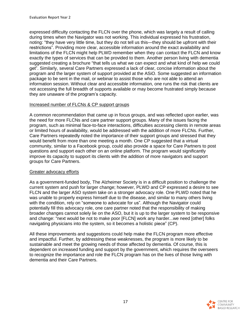expressed difficulty contacting the FLCN over the phone, which was largely a result of calling during times when the Navigator was not working. This individual expressed his frustration, noting: "they have very little time, but they do not tell us this—they should be upfront with their restrictions". Providing more clear, accessible information around the exact availability and limitations of the FLCN might help PLWD remember when they can contact the FLCN and know exactly the types of services that can be provided to them. Another person living with dementia suggested creating a brochure "that tells us what we can expect and what kind of help we could get". Similarly, several Care Partners expressed a lack of clear, concise information about the program and the larger system of support provided at the ASiO. Some suggested an information package to be sent in the mail, or webinar to assist those who are not able to attend an information session. Without clear and accessible information, one runs the risk that clients are not accessing the full breadth of supports available or may become frustrated simply because they are unaware of the program's capacity.

#### Increased number of FLCNs & CP support groups

A common recommendation that came up in focus groups, and was reflected upon earlier, was the need for more FLCNs and care partner support groups. Many of the issues facing the program, such as minimal face-to-face interactions, difficulties accessing clients in remote areas or limited hours of availability, would be addressed with the addition of more FLCNs. Further, Care Partners repeatedly noted the importance of their support groups and stressed that they would benefit from more than one meeting a month. One CP suggested that a virtual community, similar to a Facebook group, could also provide a space for Care Partners to post questions and support each other on an online platform. The program would significantly improve its capacity to support its clients with the addition of more navigators and support groups for Care Partners.

#### Greater advocacy efforts

As a government-funded body, The Alzheimer Society is in a difficult position to challenge the current system and push for larger change; however, PLWD and CP expressed a desire to see FLCN and the larger ASO system take on a stronger advocacy role. One PLWD noted that he was unable to properly express himself due to the disease, and similar to many others living with the condition, rely on "someone to advocate for us". Although the Navigator could potentially fill this advocacy role, one care partner noted that the responsibility of making broader changes cannot solely lie on the ASO, but it is up to the larger system to be responsive and change: "next would be not to make poor [FLCN] work any harder...we need [other] folks navigating physicians into the system, so it becomes a holistic piece" (CP).

All these improvements and suggestions could help make the FLCN program more effective and impactful. Further, by addressing these weaknesses, the program is more likely to be sustainable and meet the growing needs of those affected by dementia. Of course, this is dependent on increased funding and support by the government, which requires the overseers to recognize the importance and role the FLCN program has on the lives of those living with dementia and their Care Partners.

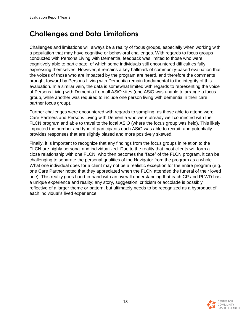# **Challenges and Data Limitations**

Challenges and limitations will always be a reality of focus groups, especially when working with a population that may have cognitive or behavioral challenges. With regards to focus groups conducted with Persons Living with Dementia, feedback was limited to those who were cognitively able to participate, of which some individuals still encountered difficulties fully expressing themselves. However, it remains a key hallmark of community-based evaluation that the voices of those who are impacted by the program are heard, and therefore the comments brought forward by Persons Living with Dementia remain fundamental to the integrity of this evaluation. In a similar vein, the data is somewhat limited with regards to representing the voice of Persons Living with Dementia from all ASiO sites (one ASiO was unable to arrange a focus group, while another was required to include one person living with dementia in their care partner focus group).

Further challenges were encountered with regards to sampling, as those able to attend were Care Partners and Persons Living with Dementia who were already well connected with the FLCN program and able to travel to the local ASiO (where the focus group was held). This likely impacted the number and type of participants each ASiO was able to recruit, and potentially provides responses that are slightly biased and more positively skewed.

Finally, it is important to recognize that any findings from the focus groups in relation to the FLCN are highly personal and individualized. Due to the reality that most clients will form a close relationship with one FLCN, who then becomes the "face" of the FLCN program, it can be challenging to separate the personal qualities of the Navigator from the program as a whole. What one individual does for a client may not be a realistic exception for the entire program (e.g. one Care Partner noted that they appreciated when the FLCN attended the funeral of their loved one). This reality goes hand-in-hand with an overall understanding that each CP and PLWD has a unique experience and reality; any story, suggestion, criticism or accolade is possibly reflective of a larger theme or pattern, but ultimately needs to be recognized as a byproduct of each individual's lived experience.

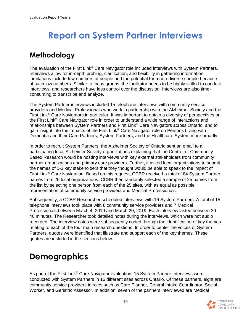# **Report on System Partner Interviews**

# **Methodology**

The evaluation of the First Link<sup>®</sup> Care Navigator role included interviews with System Partners. Interviews allow for in-depth probing, clarification, and flexibility in gathering information. Limitations include low numbers of people and the potential for a non-diverse sample because of such low numbers. Similar to focus groups, the facilitator needs to be highly skilled to conduct interviews, and researchers have less control over the discussion. Interviews are also timeconsuming to transcribe and analyze.

The System Partner interviews included 15 telephone interviews with community service providers and Medical Professionals who work in partnership with the Alzheimer Society and the First Link® Care Navigators in particular. It was important to obtain a diversity of perspectives on the First Link® Care Navigator role in order to understand a wide range of interactions and relationships between System Partners and First Link® Care Navigators across Ontario, and to gain insight into the impacts of the First Link® Care Navigator role on Persons Living with Dementia and their Care Partners, System Partners, and the Healthcare System more broadly.

In order to recruit System Partners, the Alzheimer Society of Ontario sent an email to all participating local Alzheimer Society organizations explaining that the Centre for Community Based Research would be hosting interviews with key external stakeholders from community partner organizations and primary care providers. Further, it asked local organizations to submit the names of 1-3 key stakeholders that they thought would be able to speak to the impact of First Link® Care Navigation. Based on this request, CCBR received a total of 84 System Partner names from 25 local organizations. CCBR then randomly selected a sample of 25 names from the list by selecting one person from each of the 25 sites, with as equal as possible representation of community service providers and Medical Professionals.

Subsequently, a CCBR Researcher scheduled interviews with 16 System Partners. A total of 15 telephone interviews took place with 8 community service providers and 7 Medical Professionals between March 4, 2019 and March 20, 2019. Each interview lasted between 30- 40 minutes. The Researcher took detailed notes during the interviews, which were not audio recorded. The interview notes were subsequently coded through the identification of key themes relating to each of the four main research questions. In order to center the voices of System Partners, quotes were identified that illustrate and support each of the key themes. These quotes are included in the sections below.

# **Demographics**

As part of the First Link® Care Navigator evaluation, 15 System Partner Interviews were conducted with System Partners in 15 different sites across Ontario. Of these partners, eight are community service providers in roles such as Care Planner, Central Intake Coordinator, Social Worker, and Geriatric Assessor. In addition, seven of the partners interviewed are Medical

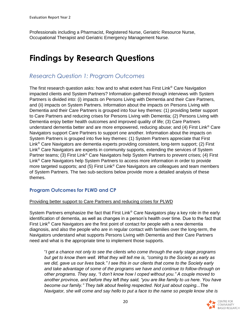Professionals including a Pharmacist, Registered Nurse, Geriatric Resource Nurse, Occupational Therapist and Geriatric Emergency Management Nurse.

# **Findings by Research Questions**

#### *Research Question 1: Program Outcomes*

The first research question asks: how and to what extent has First Link® Care Navigation impacted clients and System Partners? Information gathered through interviews with System Partners is divided into: (i) impacts on Persons Living with Dementia and their Care Partners, and (ii) impacts on System Partners. Information about the impacts on Persons Living with Dementia and their Care Partners is grouped into four key themes: (1) providing better support to Care Partners and reducing crises for Persons Living with Dementia; (2) Persons Living with Dementia enjoy better health outcomes and improved quality of life; (3) Care Partners understand dementia better and are more empowered, reducing abuse; and (4) First Link<sup>®</sup> Care Navigators support Care Partners to support one another. Information about the impacts on System Partners is grouped into five key themes: (1) System Partners appreciate that First Link® Care Navigators are dementia experts providing consistent, long-term support; (2) First Link® Care Navigators are experts in community supports, extending the services of System Partner teams; (3) First Link<sup>®</sup> Care Navigators help System Partners to prevent crises; (4) First Link® Care Navigators help System Partners to access more information in order to provide more targeted supports; and (5) First Link<sup>®</sup> Care Navigators are colleagues and team members of System Partners. The two sub-sections below provide more a detailed analysis of these themes.

#### **Program Outcomes for PLWD and CP**

#### Providing better support to Care Partners and reducing crises for PLWD

System Partners emphasize the fact that First Link<sup>®</sup> Care Navigators play a key role in the early identification of dementia, as well as changes in a person's health over time. Due to the fact that First Link<sup>®</sup> Care Navigators are the first point of contact for people with a new dementia diagnosis, and also the people who are in regular contact with families over the long-term, the Navigators understand what supports Persons Living with Dementia and their Care Partners need and what is the appropriate time to implement those supports.

"*I get a chance not only to see the clients who come through the early stage programs but get to know them well. What they will tell me is, "coming to the Society as early as we did, gave us our lives back." I see this in our clients that come to the Society early and take advantage of some of the programs we have and continue to follow-through on other programs. They say, "I don't know how I coped without you." A couple moved to another province, and before they left they said, "you are like family to us here. You have become our family." They talk about feeling respected. Not just about coping...The Navigator, she will come and say hello to put a face to the name so people know she is* 

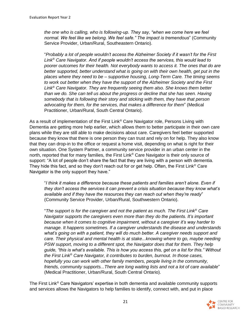*the one who is calling, who is following-up. They say, "when we come here we feel normal. We feel like we belong. We feel safe." The impact is tremendous*" (Community Service Provider, Urban/Rural, Southeastern Ontario).

"*Probably a lot of people wouldn't access the Alzheimer Society if it wasn't for the First Link*® *Care Navigator. And if people wouldn't access the services, this would lead to poorer outcomes for their health. Not everybody wants to access it. The ones that do are better supported, better understand what is going on with their own health, get put in the places where they need to be – supportive housing, Long-Term Care. The timing seems to work out better when they have the support of the Alzheimer Society and the First Link*® *Care Navigator. They are frequently seeing them also. She knows them better than we do. She can tell us about the progress or decline that she has seen. Having somebody that is following their story and sticking with them, they have that person advocating for them, for the services, that makes a difference for them*" (Medical Practitioner, Urban/Rural, South Central Ontario).

As a result of implementation of the First Link® Care Navigator role, Persons Living with Dementia are getting more help earlier, which allows them to better participate in their own care plans while they are still able to make decisions about care. Caregivers feel better supported because they know that there is one person they can trust and rely on for help. They also know that they can drop-in to the office or request a home visit, depending on what is right for their own situation. One System Partner, a community service provider in an urban center in the north, reported that for many families, the First Link<sup>®</sup> Care Navigator is their only source of support: "A lot of people don't share the fact that they are living with a person with dementia. They hide this fact, and so they don't reach out for or get help. Often, the First Link<sup>®</sup> Care Navigator is the only support they have."

"*I think it makes a difference because these patients and families aren't alone. Even if they don't access the services it can prevent a crisis situation because they know what's available and if they have the resources they can reach out when they're ready*" (Community Service Provider, Urban/Rural, Southwestern Ontario).

"*The support is for the caregiver and not the patient as much. The First Link*® *Care Navigator supports the caregivers even more than they do the patients. It's important because when it comes to cognitive impairment, without a caregiver it's way harder to manage. It happens sometimes. If a caregiver understands the disease and understands what's going on with a patient, they will do much better. A caregiver needs support and care. Their physical and mental health is at stake...knowing where to go, maybe needing PSW support, moving to a different spot, the Navigator does that for them. They help guide, "this is what's available. This is how you access this, get on a list for this." Without the First Link*® *Care Navigator, it contributes to burden, burnout. In those cases, hopefully you can work with other family members, people living in the community, friends, community supports...There are long waiting lists and not a lot of care available*" (Medical Practitioner, Urban/Rural, South Central Ontario).

The First Link® Care Navigators' expertise in both dementia and available community supports and services allows the Navigators to help families to identify, connect with, and put in place

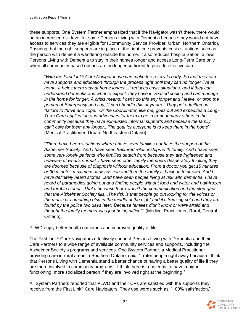these supports. One System Partner emphasized that if the Navigator wasn't there, there would be an increased risk level for some Persons Living with Dementia because they would not have access to services they are eligible for (Community Service Provider, Urban, Northern Ontario). Ensuring that the right supports are in place at the right time prevents crisis situations such as the person with dementia wandering outside the home. It also reduces hospitalization, allows Persons Living with Dementia to stay in their homes longer and access Long-Term Care only when all community-based options are no longer sufficient to provide effective care.

"*With the First Link*® *Care Navigator, we can make the referrals early. So that they can*  have supports and education through the process right until they can no longer live at *home. It helps them stay at home longer...it reduces crisis situations, and if they can understand dementia and what to expect, they have increased coping and can manage in the home for longer. A crisis means: I can't do this any longer and I leave, or drop the person at Emergency and say, "I can't handle this anymore." They get admitted as "failure to thrive and cope." Or the Coordinator, like me, goes out and expedites a Long-Term Care application and advocates for them to go in front of many others in the community because they have exhausted informal supports and because the family can't care for them any longer...The goal for everyone is to keep them in the home*" (Medical Practitioner, Urban, Northeastern Ontario).

"*There have been situations where I have seen families not have the support of the Alzheimer Society. And I have seen fractured relationships with family. And I have seen some very lonely patients who families detach from because they are frightened and unaware of what's normal. I have seen other family members desperately thinking they are doomed because of diagnosis without education. From a doctor you get 15 minutes or 30 minutes maximum of discussion and then the family is back on their own. And I have definitely heard stories...and have seen people living at risk with dementia. I have heard of paramedics going out and finding people without food and water and half-frozen and terrible stories. That's because there wasn't the communication and the stop-gaps that the Alzheimer Society fills...The risk is that people go out looking for the voices or the music or something else in the middle of the night and it's freezing cold and they are*  found by the police two days later. Because families didn't know or were afraid and *thought the family member was just being difficult*" (Medical Practitioner, Rural, Central Ontario).

#### PLWD enjoy better health outcomes and improved quality of life

The First Link® Care Navigators effectively connect Persons Living with Dementia and their Care Partners to a wide range of available community services and supports, including the Alzheimer Society's programs and services. One System Partner, a Medical Practitioner providing care in rural areas in Southern Ontario, said: "I refer people right away because I think that Persons Living with Dementia stand a better chance of having a better quality of life if they are more involved in community programs...I think there is a potential to have a higher functioning, more socialized person if they are involved right at the beginning."

All System Partners reported that PLWD and their CPs are satisfied with the supports they receive from the First Link® Care Navigators. They use words such as, "100% satisfaction,"

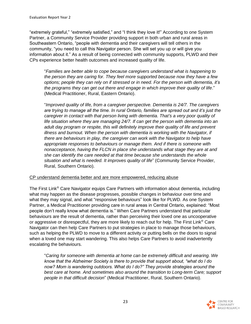"extremely grateful," "extremely satisfied," and "I think they love it!" According to one System Partner, a Community Service Provider providing support in both urban and rural areas in Southeastern Ontario, "people with dementia and their caregivers will tell others in the community, "you need to call this Navigator person. She will set you up or will give you information about it." As a result of being connected with community supports, PLWD and their CPs experience better health outcomes and increased quality of life.

"*Families are better able to cope because caregivers understand what is happening to the person they are caring for. They feel more supported because now they have a few options; people they can rely on if stressed or in need. For the person with dementia, it's the programs they can get out there and engage in which improve their quality of life*." (Medical Practitioner, Rural, Eastern Ontario).

"*Improved quality of life, from a caregiver perspective. Dementia is 24/7. The caregivers are trying to manage all the time. In rural Ontario, families are spread out and it's just the caregiver in contact with that person living with dementia. That's a very poor quality of*  life situation where they are managing 24/7. If can get the person with dementia into an *adult day program or respite, this will definitely improve their quality of life and prevent illness and burnout. When the person with dementia is working with the Navigator, if there are behaviours in play, the caregiver can work with the Navigator to help have appropriate responses to behaviours or manage them. And if there is someone with nonacceptance, having the FLCN in place she understands what stage they are at and she can identify the care needed at that time because she understands the whole situation and what is needed. It improves quality of life*" (Community Service Provider, Rural, Southern Ontario).

#### CP understand dementia better and are more empowered, reducing abuse

The First Link® Care Navigator equips Care Partners with information about dementia, including what may happen as the disease progresses, possible changes in behaviour over time and what they may signal, and what "responsive behaviours" look like for PLWD. As one System Partner, a Medical Practitioner providing care in rural areas in Central Ontario, explained: "Most people don't really know what dementia is." When Care Partners understand that particular behaviours are the result of dementia, rather than perceiving their loved one as uncooperative or aggressive or disrespectful, they are more likely to reach out for help. The First Link<sup>®</sup> Care Navigator can then help Care Partners to put strategies in place to manage those behaviours, such as helping the PLWD to move to a different activity or putting bells on the doors to signal when a loved one may start wandering. This also helps Care Partners to avoid inadvertently escalating the behaviours.

"*Caring for someone with dementia at home can be extremely difficult and wearing. We know that the Alzheimer Society is there to provide that support about, "what do I do now? Mom is wandering outdoors. What do I do?" They provide strategies around the best care at home. And sometimes also around the transition to Long-term Care; support people in that difficult decision*" (Medical Practitioner, Rural, Southern Ontario).

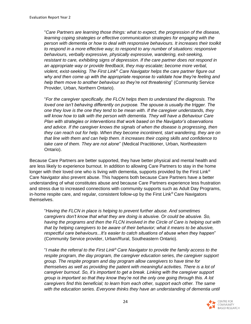"*Care Partners are learning those things: what to expect, the progression of the disease, learning coping strategies or effective communication strategies for engaging with the person with dementia or how to deal with responsive behaviours. It increases their toolkit to respond in a more effective way; to respond to any number of situations: responsive behaviours, verbally expressive, physically expressive, wandering, exit-seeking, resistant to care, exhibiting signs of depression. If the care partner does not respond in an appropriate way or provide feedback, they may escalate; become more verbal, violent, exist-seeking. The First Link*® *Care Navigator helps the care partner figure out why and then come up with the appropriate response to validate how they're feeling and help them move to another behaviour so they're not threatening*" (Community Service Provider, Urban, Northern Ontario).

"*For the caregiver specifically, the FLCN helps them to understand the diagnosis. The loved one isn't behaving differently on purpose. The spouse is usually the trigger. The one they love is the one they tend to be mean with. If the caregiver understands, they will know how to talk with the person with dementia. They will have a Behaviour Care Plan with strategies or interventions that work based on the Navigator's observations and advice. If the caregiver knows the signals of when the disease is progressing, then they can reach out for help. When they become incontinent, start wandering, they are on that line with them and can help them. It increases their coping skills and confidence to take care of them. They are not alone*" (Medical Practitioner, Urban, Northeastern Ontario).

Because Care Partners are better supported, they have better physical and mental health and are less likely to experience burnout. In addition to allowing Care Partners to stay in the home longer with their loved one who is living with dementia, supports provided by the First Link<sup>®</sup> Care Navigator also prevent abuse. This happens both because Care Partners have a better understanding of what constitutes abuse and because Care Partners experience less frustration and stress due to increased connections with community supports such as Adult Day Programs, in-home respite care, and regular, consistent follow-up by the First Link® Care Navigators themselves.

"*Having the FLCN in place is helping to prevent further abuse. And sometimes caregivers don't know that what they are doing is abusive. Or could be abusive. So, having the programs and then the FLCN involved in the Circle of Care is helping out with that by helping caregivers to be aware of their behavior; what it means to be abusive, respectful care behaviours...It's easier to catch situations of abuse when they happen*" (Community Service provider, Urban/Rural, Southeastern Ontario).

"*I make the referral to the First Link*® *Care Navigator to provide the family access to the respite program, the day program, the caregiver education series, the caregiver support group. The respite program and day program allow caregivers to have time for themselves as well as providing the patient with meaningful activities. There is a lot of caregiver burnout. So, it's important to get a break. Linking with the caregiver support group is important so that they know they're not the only one going through this. A lot caregivers find this beneficial; to learn from each other, support each other. The same*  with the education series. Everyone thinks they have an understanding of dementia until

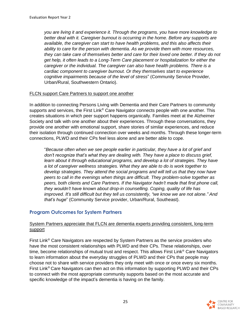*you are living it and experience it. Through the programs, you have more knowledge to better deal with it. Caregiver burnout is occurring in the home. Before any supports are available, the caregiver can start to have health problems, and this also affects their ability to care for the person with dementia. As we provide them with more resources, they can take care of themselves better and care for their loved one better. If they do not get help, it often leads to a Long-Term Care placement or hospitalization for either the caregiver or the individual. The caregiver can also have health problems. There is a cardiac component to caregiver burnout. Or they themselves start to experience cognitive impairments because of the level of stress*" (Community Service Provider, Urban/Rural, Southwestern Ontario).

#### FLCN support Care Partners to support one another

In addition to connecting Persons Living with Dementia and their Care Partners to community supports and services, the First Link® Care Navigator connects people with one another. This creates situations in which peer support happens organically. Families meet at the Alzheimer Society and talk with one another about their experiences. Through these conversations, they provide one another with emotional support, share stories of similar experiences, and reduce their isolation through continued connection over weeks and months. Through these longer-term connections, PLWD and their CPs feel less alone and are better able to cope.

"*Because often when we see people earlier in particular, they have a lot of grief and don't recognize that's what they are dealing with. They have a place to discuss grief, learn about it through educational programs, and develop a lot of strategies. They have a lot of caregiver wellness strategies. What they are able to do is work together to develop strategies. They attend the social programs and will tell us that they now have peers to call in the evenings when things are difficult. They problem-solve together as peers, both clients and Care Partners. If the Navigator hadn't made that first phone call, they wouldn't have known about drop-in counselling. Coping, quality of life has improved. It's still difficult but they tell us consistently, "we know we are not alone." And that's huge*" (Community Service provider, Urban/Rural, Southeast).

#### **Program Outcomes for System Partners**

#### System Partners appreciate that FLCN are dementia experts providing consistent, long-term support

First Link® Care Navigators are respected by System Partners as the service providers who have the most consistent relationships with PLWD and their CPs. These relationships, over time, become relationships of mutual trust and respect. This allows First Link<sup>®</sup> Care Navigators to learn information about the everyday struggles of PLWD and their CPs that people may choose not to share with service providers they only meet with once or once every six months. First Link® Care Navigators can then act on this information by supporting PLWD and their CPs to connect with the most appropriate community supports based on the most accurate and specific knowledge of the impact's dementia is having on the family.

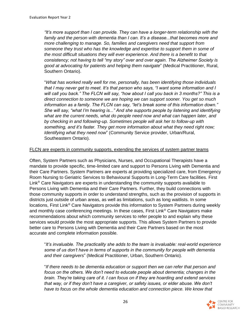*"It's more support than I can provide. They can have a longer-term relationship with the family and the person with dementia than I can. It's a disease...that becomes more and more challenging to manage. So, families and caregivers need that support from someone they trust who has the knowledge and expertise to support them in some of the most difficult situations they will ever experience. And there is a benefit to that consistency; not having to tell "my story" over and over again. The Alzheimer Society is good at advocating for patients and helping them navigate*" (Medical Practitioner, Rural, Southern Ontario).

"*What has worked really well for me, personally, has been identifying those individuals that I may never get to meet. It's that person who says, "I want some information and I will call you back." The FLCN will say, "how about I call you back in 3 months?" This is a direct connection to someone we are hoping we can support sooner. You get so much information as a family. The FLCN can say, "let's break some of this information down." She will say, "what I'm hearing is..." And she supports people by listening and identifying what are the current needs, what do people need now and what can happen later, and by checking in and following-up. Sometimes people will ask her to follow-up with something, and it's faster. They get more information about what they need right now; Identifying what they need now*" (Community Service provider, Urban/Rural, Southeastern Ontario).

#### FLCN are experts in community supports, extending the services of system partner teams

Often, System Partners such as Physicians, Nurses, and Occupational Therapists have a mandate to provide specific, time-limited care and support to Persons Living with Dementia and their Care Partners. System Partners are experts at providing specialized care, from Emergency Room Nursing to Geriatric Services to Behavioural Supports in Long-Term Care facilities. First Link® Care Navigators are experts in understanding the community supports available to Persons Living with Dementia and their Care Partners. Further, they build connections with those community supports in order to understand strengths, such as the provision of supports in districts just outside of urban areas, as well as limitations, such as long waitlists. In some locations, First Link® Care Navigators provide this information to System Partners during weekly and monthly case conferencing meetings. In these cases, First Link® Care Navigators make recommendations about which community services to refer people to and explain why these services would provide the most appropriate supports. This allows System Partners to provide better care to Persons Living with Dementia and their Care Partners based on the most accurate and complete information possible.

"*It's invaluable. The practicality she adds to the team is invaluable: real-world experience some of us don't have in terms of supports in the community for people with dementia and their caregivers*" (Medical Practitioner, Urban, Southern Ontario).

"*If there needs to be dementia education or support then we can refer that person and focus on the others. We don't need to educate people about dementia; changes in the brain. They're taking care of it. I can focus on if they are hoarding and extend services that way, or if they don't have a caregiver, or safety issues, or elder abuse. We don't have to focus on the whole dementia education and connection piece. We know that* 

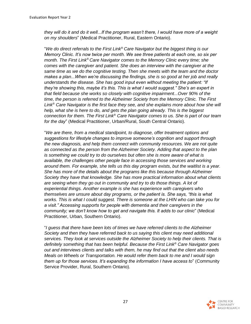*they will do it and do it well...If the program wasn't there, I would have more of a weight on my shoulders*" (Medical Practitioner, Rural, Eastern Ontario).

"*We do direct referrals to the First Link*® *Care Navigator but the biggest thing is our Memory Clinic. It's now twice per month. We see three patients at each one, so six per month. The First Link*® *Care Navigator comes to the Memory Clinic every time; she comes with the caregiver and patient. She does an interview with the caregiver at the same time as we do the cognitive testing. Then she meets with the team and the doctor makes a plan...When we're discussing the findings, she is so good at her job and really understands the disease. She has good input even without meeting the patient: "If they're showing this, maybe it's this. This is what I would suggest." She's an expert in that field because she works so closely with cognitive impairment...Over 90% of the time, the person is referred to the Alzheimer Society from the Memory Clinic. The First Link*® *Care Navigator is the first face they see, and she explains more about how she will help, what she is here to do, and gets the plan going already. This is the biggest connection for them. The First Link*® *Care Navigator comes to us. She is part of our team for the day*" (Medical Practitioner, Urban/Rural, South Central Ontario).

"*We are there, from a medical standpoint, to diagnose, offer treatment options and suggestions for lifestyle changes to improve someone's cognition and support through the new diagnosis, and help them connect with community resources. We are not quite as connected as the person from the Alzheimer Society. Adding that aspect to the plan is something we could try to do ourselves but often she is more aware of what is available, the challenges other people face in accessing those services and working around them. For example, she tells us this day program exists, but the waitlist is a year. She has more of the details about the programs like this because through Alzheimer Society they have that knowledge. She has more practical information about what clients are seeing when they go out in community and try to do those things. A lot of experiential things. Another example is she has experience with caregivers who themselves are unsure about day programs, or the patient is. She says, "this is what works. This is what I could suggest. There is someone at the LHIN who can take you for a visit." Accessing supports for people with dementia and their caregivers in the community; we don't know how to get and navigate this. It adds to our clinic*" (Medical Practitioner, Urban, Southern Ontario).

"*I guess that there have been lots of times we have referred clients to the Alzheimer Society and then they have referred back to us saying this client may need additional services. They look at services outside the Alzheimer Society to help their clients. That is definitely something that has been helpful. Because the First Link*® *Care Navigator goes out and interviews clients and talks with them, he may find out that the client also needs Meals on Wheels or Transportation. He would refer them back to me and I would sign them up for those services. It's expanding the information I have access to*" (Community Service Provider, Rural, Southern Ontario).

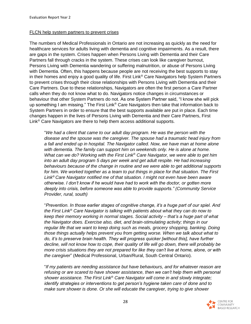#### FLCN help system partners to prevent crises

The numbers of Medical Professionals in Ontario are not increasing as quickly as the need for healthcare services for adults living with dementia and cognitive impairments. As a result, there are gaps in the system. Crises happen when Persons Living with Dementia and their Care Partners fall through cracks in the system. These crises can look like caregiver burnout, Persons Living with Dementia wandering or suffering malnutrition, or abuse of Persons Living with Dementia. Often, this happens because people are not receiving the best supports to stay in their homes and enjoy a good quality of life. First Link® Care Navigators help System Partners to prevent crises through their close relationships with Persons Living with Dementia and their Care Partners. Due to these relationships, Navigators are often the first person a Care Partner calls when they do not know what to do. Navigators notice changes in circumstances or behaviour that other System Partners do not. As one System Partner said, "I know she will pick up something I am missing." The First Link® Care Navigators then take that information back to System Partners in order to ensure that the best supports available are put in place. Each time changes happen in the lives of Persons Living with Dementia and their Care Partners, First Link® Care Navigators are there to help them access additional supports.

"*We had a client that came to our adult day program. He was the person with the disease and the spouse was the caregiver. The spouse had a traumatic head injury from a fall and ended up in hospital. The Navigator called. Now, we have man at home alone*  with dementia. The family can support him on weekends only. He is alone at home. *What can we do? Working with the First Link*® *Care Navigator, we were able to get him into an adult day program 5 days per week and get adult respite. He had increasing behaviours because of the change in routine and we were able to get additional supports for him. We worked together as a team to put things in place for that situation. The First Link*® *Care Navigator notified me of that situation. I might not even have been aware otherwise. I don't know if he would have had to work with the doctor, or gotten more deeply into crisis, before someone was able to provide supports." (Community Service Provider, rural, south)* 

"*Prevention. In those earlier stages of cognitive change, it's a huge part of our spiel. And the First Link*® *Care Navigator is talking with patients about what they can do now to keep their memory working in normal stages. Social activity – that's a huge part of what the Navigator does. Exercise also, diet, and brain-stimulating activity; things in our regular life that we want to keep doing such as meals, grocery shopping, banking. Doing those things actually helps prevent you from getting worse. When we talk about what to do, it's to preserve brain health. They will progress quicker [without this], have further decline, will not know how to cope, their quality of life will go down, there will probably be more crisis situations they are not prepared for like they can't live at home, alone, or with the caregiver*" (Medical Professional, Urban/Rural, South Central Ontario).

"*If my patients are needing assistance but have behaviours, and for whatever reason are refusing or are scared to have shower assistance, then we can't help them with personal shower assistance. The First Link*® *Care Navigator will come in and slowly integrate; identify strategies or interventions to get person's hygiene taken care of done and to make sure shower is done. Or she will educate the caregiver, trying to give shower* 

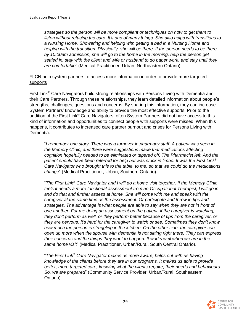*strategies so the person will be more compliant or techniques on how to get them to listen without refusing the care. It's one of many things. She also helps with transitions to a Nursing Home. Showering and helping with getting a bed in a Nursing Home and helping with the transition. Physically, she will be there. If the person needs to be there by 10:00am admission, she will go to the home in the morning, help the person get settled in, stay with the client and wife or husband to do paper work, and stay until they are comfortable*" (Medical Practitioner, Urban, Northeastern Ontario).

#### FLCN help system partners to access more information in order to provide more targeted supports

First Link® Care Navigators build strong relationships with Persons Living with Dementia and their Care Partners. Through these relationships, they learn detailed information about people's strengths, challenges, questions and concerns. By sharing this information, they can increase System Partners' knowledge and ability to provide the most effective supports. Prior to the addition of the First Link® Care Navigators, often System Partners did not have access to this kind of information and opportunities to connect people with supports were missed. When this happens, it contributes to increased care partner burnout and crises for Persons Living with Dementia.

"*I remember one story. There was a turnover in pharmacy staff. A patient was seen in the Memory Clinic, and there were suggestions made that medications affecting cognition hopefully needed to be eliminated or tapered off. The Pharmacist left. And the patient should have been referred for help but was stuck in limbo. It was the First Link*® *Care Navigator who brought this to the table, to me, so that we could do the medications change*" (Medical Practitioner, Urban, Southern Ontario).

"*The First Link*® *Care Navigator and I will do a home visit together. If the Memory Clinic feels it needs a more functional assessment from an Occupational Therapist, I will go in and do that and further assess at home. She will come with me and speak with the caregiver at the same time as the assessment. Or participate and throw in tips and strategies. The advantage is what people are able to say when they are not in front of one another. For me doing an assessment on the patient, if the caregiver is watching, they don't perform as well, or they perform better because of tips from the caregiver, or they are nervous. It's hard for the caregiver to watch or see. Sometimes they don't know how much the person is struggling in the kitchen. On the other side, the caregiver can open up more when the spouse with dementia is not sitting right there. They can express their concerns and the things they want to happen. It works well when we are in the same home visit*" (Medical Practitioner, Urban/Rural, South Central Ontario).

"*The First Link*® *Care Navigator makes us more aware; helps out with us having knowledge of the clients before they are in our programs. It makes us able to provide better, more targeted care; knowing what the clients require; their needs and behaviours. So, we are prepared*" (Community Service Provider, Urban/Rural, Southeastern Ontario).

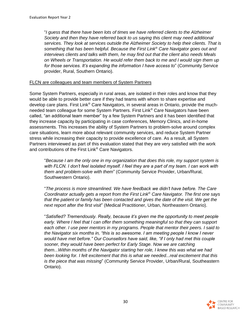"*I guess that there have been lots of times we have referred clients to the Alzheimer Society and then they have referred back to us saying this client may need additional services. They look at services outside the Alzheimer Society to help their clients. That is something that has been helpful. Because the First Link*® *Care Navigator goes out and interviews clients and talks with them, he may find out that the client also needs Meals on Wheels or Transportation. He would refer them back to me and I would sign them up for those services. It's expanding the information I have access to*" (Community Service provider, Rural, Southern Ontario).

#### FLCN are colleagues and team members of System Partners

Some System Partners, especially in rural areas, are isolated in their roles and know that they would be able to provide better care if they had teams with whom to share expertise and develop care plans. First Link® Care Navigators, in several areas in Ontario, provide the muchneeded team colleague for some System Partners. First Link® Care Navigators have been called, "an additional team member" by a few System Partners and it has been identified that they increase capacity by participating in case conferences, Memory Clinics, and in-home assessments. This increases the ability of System Partners to problem-solve around complex care situations, learn more about relevant community services, and reduce System Partner stress while increasing their capacity to provide excellence of care. As a result, all System Partners interviewed as part of this evaluation stated that they are very satisfied with the work and contributions of the First Link® Care Navigators.

"*Because I am the only one in my organization that does this role, my support system is with FLCN. I don't feel isolated myself. I feel they are a part of my team. I can work with them and problem-solve with them*" (Community Service Provider, Urban/Rural, Southwestern Ontario).

"*The process is more streamlined. We have feedback we didn't have before. The Care Coordinator actually gets a report from the First Link*® *Care Navigator. The first one says that the patient or family has been contacted and gives the date of the visit. We get the next report after the first visit*" (Medical Practitioner, Urban, Northeastern Ontario).

"*Satisfied? Tremendously. Really, because it's given me the opportunity to meet people early. Where I feel that I can offer them something meaningful so that they can support each other. I use peer mentors in my programs. People that mentor their peers. I said to the Navigator six months in, "this is so awesome. I am meeting people I know I never*  would have met before." Our Counsellors have said, like, "if I only had met this couple *sooner, they would have been perfect for Early Stage. Now we are catching them...Within months of the Navigator starting her role, I knew this was what we had been looking for. I felt excitement that this is what we needed...real excitement that this is the piece that was missing*" (Community Service Provider, Urban/Rural, Southeastern Ontario).

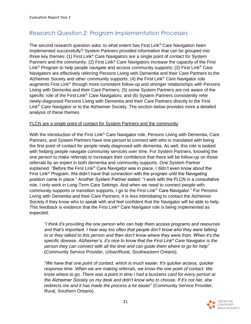### *Research Question 2: Program Implementation Processes*

The second research question asks: to what extent has First Link<sup>®</sup> Care Navigation been implemented successfully? System Partners provided information that can be grouped into three key themes: (1) First Link<sup>®</sup> Care Navigators are a single point of contact for System Partners and the community; (2) First Link<sup>®</sup> Care Navigators increase the capacity of the First Link<sup>®</sup> Program to help people navigate and access community supports; (3) First Link<sup>®</sup> Care Navigators are effectively referring Persons Living with Dementia and their Care Partners to the Alzheimer Society and other community supports; (4) the First Link<sup>®</sup> Care Navigator role augments First Link® through more consistent follow-up and stronger relationships with Persons Living with Dementia and their Care Partners; (5) some System Partners are not aware of the specific role of the First Link® Care Navigators; and (6) System Partners consistently refer newly-diagnosed Persons Living with Dementia and their Care Partners directly to the First Link® Care Navigator or to the Alzheimer Society. The section below provides more a detailed analysis of these themes.

#### FLCN are a single point of contact for System Partners and the community

With the introduction of the First Link<sup>®</sup> Care Navigator role, Persons Living with Dementia, Care Partners, and System Partners have one person to connect with who is mandated with being the first point of contact for people newly diagnosed with dementia. As well, this role is tasked with helping people navigate community services over time. For System Partners, knowing the one person to make referrals to increases their confidence that there will be follow-up on those referrals by an expert in both dementia and community supports. One System Partner explained: "Before the First Link® Care Navigator was in place, I didn't even know about the First Link® Program. We didn't have that connection with the program until the Navigating position came in place." Another System Partner stated: "I work with the FLCN in a consultative role. I only work in Long-Term Care Settings. And when we need to connect people with community supports or transition supports, I go to the First Link® Care Navigator." For Persons Living with Dementia and their Care Partners, it is less intimidating to contact the Alzheimer Society if they know who to speak with and feel confident that the Navigator will be able to help. This feedback is evidence that the First Link® Care Navigator role is being implemented as expected.

"*I think it's providing the one person who can help them access programs and resources and that's important. I hear way too often that people don't know who they were talking to or they talked to this person and then don't know where they were from. When it's the specific disease, Alzheimer's, it's nice to know that the First Link*® *Care Navigator is the person they can connect with all the time and can guide them where to go for help*" (Community Service Provider, Urban/Rural, Southeastern Ontario).

"*We have that one point of contact, which is much easier. It's quicker access, quicker response time. When we are making referrals, we know the one point of contact. We know where to go. There was a point in time I had a business card for every person at the Alzheimer Society on my desk and didn't know who to choose. If it's not her, she redirects me and it has made the process a lot easier*" (Community Service Provider, Rural, Southern Ontario).

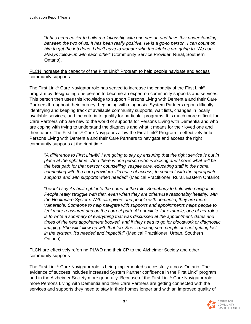"*It has been easier to build a relationship with one person and have this understanding between the two of us. It has been really positive. He is a go-to person. I can count on him to get the job done. I don't have to wonder who the intakes are going to. We can always follow-up with each other*" (Community Service Provider, Rural, Southern Ontario).

#### FLCN increase the capacity of the First Link® Program to help people navigate and access community supports

The First Link<sup>®</sup> Care Navigator role has served to increase the capacity of the First Link<sup>®</sup> program by designating one person to become an expert on community supports and services. This person then uses this knowledge to support Persons Living with Dementia and their Care Partners throughout their journey, beginning with diagnosis. System Partners report difficulty identifying and keeping track of available community supports, wait lists, changes in locally available services, and the criteria to qualify for particular programs. It is much more difficult for Care Partners who are new to the world of supports for Persons Living with Dementia and who are coping with trying to understand the diagnosis and what it means for their loved one and their future. The First Link® Care Navigators allow the First Link® Program to effectively help Persons Living with Dementia and their Care Partners to navigate and access the right community supports at the right time.

"*A difference to First Link*®*? I am going to say by ensuring that the right service is put in place at the right time...And there is one person who is looking and knows what will be the best path for that person; counselling, respite care, educating staff in the home, connecting with the care providers. It's ease of access; to connect with the appropriate supports and with supports when needed*" (Medical Practitioner, Rural, Eastern Ontario).

"*I would say it's built right into the name of the role. Somebody to help with navigation. People really struggle with that, even when they are otherwise reasonably healthy, with the Healthcare System. With caregivers and people with dementia, they are more vulnerable. Someone to help navigate with supports and appointments helps people to feel more reassured and on the correct path. At our clinic, for example, one of her roles is to write a summary of everything that was discussed at the appointment, dates and times of the next appointment booked, and if they need to go for bloodwork or diagnostic imaging. She will follow up with that too. She is making sure people are not getting lost in the system. It's needed and impactful*" (Medical Practitioner, Urban, Southern Ontario).

#### FLCN are effectively referring PLWD and their CP to the Alzheimer Society and other community supports

The First Link® Care Navigator role is being implemented successfully across Ontario. The evidence of success includes increased System Partner confidence in the First Link® program and in the Alzheimer Society more generally. Because of the First Link® Care Navigator role, more Persons Living with Dementia and their Care Partners are getting connected with the services and supports they need to stay in their homes longer and with an improved quality of

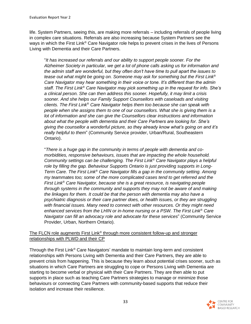life. System Partners, seeing this, are making more referrals – including referrals of people living in complex care situations. Referrals are also increasing because System Partners see the ways in which the First Link<sup>®</sup> Care Navigator role helps to prevent crises in the lives of Persons Living with Dementia and their Care Partners.

"*It has increased our referrals and our ability to support people sooner. For the Alzheimer Society in particular, we get a lot of phone calls asking us for information and the admin staff are wonderful, but they often don't have time to pull apart the issues to tease out what might be going on. Someone may ask for something but the First Link*® *Care Navigator may hear something in their voice or tone. It's different than the admin staff. The First Link*® *Care Navigator may pick something up in the request for info. She's a clinical person. She can then address this sooner. Hopefully, it may limit a crisis sooner. And she helps our Family Support Counsellors with caseloads and visiting clients. The First Link*® *Care Navigator helps them too because she can speak with people when she assigns them to one of our counsellors. What she is giving them is a lot of information and she can give the Counsellors clear instructions and information about what the people with dementia and their Care Partners are looking for. She's giving the counsellor a wonderful picture, so they already know what's going on and it's really helpful to them*" (Community Service provider, Urban/Rural, Southeastern Ontario).

"*There is a huge gap in the community in terms of people with dementia and comorbidities, responsive behaviours, issues that are impacting the whole household. Community settings can be challenging. The First Link*® *Care Navigator plays a helpful role by filling the gap. Behaviour Supports Ontario is just providing supports in Long-Term Care. The First Link*® *Care Navigator fills a gap in the community setting. Among my teammates too; some of the more complicated cases tend to get referred and the First Link*® *Care Navigator, because she is a great resource, is navigating people through systems in the community and supports they may not be aware of and making the linkages for them. It could be that the person with dementia may also have a psychiatric diagnosis or their care partner does, or health issues, or they are struggling with financial issues. Many need to connect with other resources. Or they might need enhanced services from the LHIN or in-home nursing or a PSW. The First Link*® *Care Navigator can fill an advocacy role and advocate for these services*" (Community Service Provider, Urban, Northern Ontario).

#### The FLCN role augments First Link<sup>®</sup> through more consistent follow-up and stronger relationships with PLWD and their CP

Through the First Link® Care Navigators' mandate to maintain long-term and consistent relationships with Persons Living with Dementia and their Care Partners, they are able to prevent crisis from happening. This is because they learn about potential crises sooner, such as situations in which Care Partners are struggling to cope or Persons Living with Dementia are starting to become verbal or physical with their Care Partners. They are then able to put supports in place such as teaching Care Partners strategies to manage or minimize those behaviours or connecting Care Partners with community-based supports that reduce their isolation and increase their resilience.

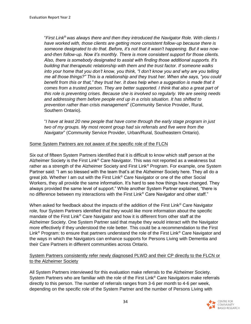"*First Link*® *was always there and then they introduced the Navigator Role. With clients I have worked with, those clients are getting more consistent follow-up because there is someone designated to do that. Before, it's not that it wasn't happening. But it was nowand-then follow-up. Now it's monthly. There is more consistent support for those clients. Also, there is somebody designated to assist with finding those additional supports. It's building that therapeutic relationship with them and the trust factor. If someone walks into your home that you don't know, you think, "I don't know you and why are you telling me all those things?" This is a relationship and they trust her. When she says, "you could*  benefit from this or that," they trust her. It does help when a suggestion is made that it *comes from a trusted person. They are better supported. I think that also a great part of this role is preventing crises. Because she is involved so regularly. We are seeing needs and addressing them before people end up in a crisis situation. It has shifted to prevention rather than crisis management*" (Community Service Provider, Rural, Southern Ontario).

"*I have at least 20 new people that have come through the early stage program in just two of my groups. My most recent group had six referrals and five were from the Navigator*" (Community Service Provider, Urban/Rural, Southeastern Ontario).

#### Some System Partners are not aware of the specific role of the FLCN

Six out of fifteen System Partners identified that it is difficult to know which staff person at the Alzheimer Society is the First Link® Care Navigator. This was not reported as a weakness but rather as a strength of the Alzheimer Society and First Link® Program. For example, one System Partner said: "I am so blessed with the team that's at the Alzheimer Society here. They all do a great job. Whether I am out with the First Link<sup>®</sup> Care Navigator or one of the other Social Workers, they all provide the same information. It's hard to see how things have changed. They always provided the same level of support." While another System Partner explained, "there is no difference between my interactions with the First Link® Care Navigator and other staff."

When asked for feedback about the impacts of the addition of the First Link<sup>®</sup> Care Navigator role, four System Partners identified that they would like more information about the specific mandate of the First Link® Care Navigator and how it is different from other staff at the Alzheimer Society. One System Partner said that maybe they would interact with the Navigator more effectively if they understood the role better. This could be a recommendation to the First Link<sup>®</sup> Program: to ensure that partners understand the role of the First Link<sup>®</sup> Care Navigator and the ways in which the Navigators can enhance supports for Persons Living with Dementia and their Care Partners in different communities across Ontario.

#### System Partners consistently refer newly diagnosed PLWD and their CP directly to the FLCN or to the Alzheimer Society

All System Partners interviewed for this evaluation make referrals to the Alzheimer Society. System Partners who are familiar with the role of the First Link® Care Navigators make referrals directly to this person. The number of referrals ranges from 3-6 per month to 4-6 per week, depending on the specific role of the System Partner and the number of Persons Living with

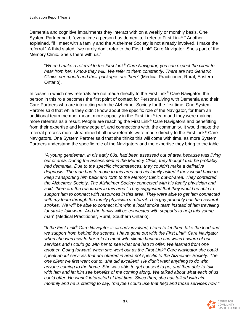Dementia and cognitive impairments they interact with on a weekly or monthly basis. One System Partner said, "every time a person has dementia, I refer to First Link®." Another explained, "if I meet with a family and the Alzheimer Society is not already involved, I make the referral." A third stated, "we rarely don't refer to the First Link® Care Navigator. She's part of the Memory Clinic. She's there with us."

"*When I make a referral to the First Link*® *Care Navigator, you can expect the client to hear from her. I know they will...We refer to them constantly. There are two Geriatric Clinics per month and their packages are there*" (Medical Practitioner, Rural, Eastern Ontario).

In cases in which new referrals are not made directly to the First Link<sup>®</sup> Care Navigator, the person in this role becomes the first point of contact for Persons Living with Dementia and their Care Partners who are interacting with the Alzheimer Society for the first time. One System Partner said that while they didn't know about the specific role of the Navigator, for them an additional team member meant more capacity in the First Link® team and they were making more referrals as a result. People are reaching the First Link® Care Navigators and benefitting from their expertise and knowledge of, and connections with, the community. It would make the referral process more streamlined if all new referrals were made directly to the First Link® Care Navigators. One System Partner said that she thinks this will come with time, as more System Partners understand the specific role of the Navigators and the expertise they bring to the table.

*"A young gentleman, in his early 60s, had been assessed out of area because was living out of area. During the assessment in the Memory Clinic, they thought that he probably had dementia. Due to the specific circumstances, they couldn't make a definitive diagnosis. The man had to move to this area and his family asked if they would have to keep transporting him back and forth to the Memory Clinic out-of-area. They contacted the Alzheimer Society. The Alzheimer Society connected with his family physician and said, "here are the resources in this area." They suggested that they would be able to support him to connect with resources in this area. They were able to get him connected with my team through the family physician's referral. This guy probably has had several strokes. We will be able to connect him with a local stroke team instead of him travelling for stroke follow-up. And the family will be connected with supports to help this young man*" (Medical Practitioner, Rural, Southern Ontario).

"*If the First Link*® *Care Navigator is already involved, I tend to let them take the lead and we support from behind the scenes. I have gone out with the First Link*® *Care Navigator when she was new to her role to meet with clients because she wasn't aware of our services and I could go with her to see what she had to offer. We learned from one another. Going forward, when she went out as the First Link*® *Care Navigator she could speak about services that are offered in area not specific to the Alzheimer Society. The one client we first went out to, she did excellent. He didn't want anything to do with anyone coming to the home. She was able to get consent to go, and then able to talk with him and let him see benefits of me coming along. We talked about what each of us could offer. He wasn't interested at that time. Since then, she has talked with him monthly and he is starting to say, "maybe I could use that help and those services now."* 

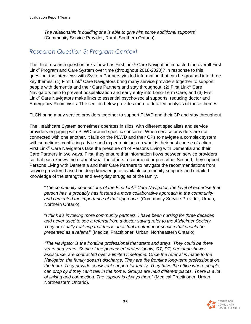*The relationship is building she is able to give him some additional supports*" (Community Service Provider, Rural, Southern Ontario).

#### *Research Question 3: Program Context*

The third research question asks: how has First Link® Care Navigation impacted the overall First Link® Program and Care System over time (throughout 2018-2020)? In response to this question, the interviews with System Partners yielded information that can be grouped into three key themes: (1) First Link® Care Navigators bring many service providers together to support people with dementia and their Care Partners and stay throughout; (2) First Link® Care Navigators help to prevent hospitalization and early entry into Long-Term Care; and (3) First Link® Care Navigators make links to essential psycho-social supports, reducing doctor and Emergency Room visits. The section below provides more a detailed analysis of these themes.

#### FLCN bring many service providers together to support PLWD and their CP and stay throughout

The Healthcare System sometimes operates in silos, with different specialists and service providers engaging with PLWD around specific concerns. When service providers are not connected with one another, it falls on the PLWD and their CPs to navigate a complex system with sometimes conflicting advice and expert opinions on what is their best course of action. First Link® Care Navigators take the pressure off of Persons Living with Dementia and their Care Partners in two ways. First, they ensure that information flows between service providers so that each knows more about what the others recommend or prescribe. Second, they support Persons Living with Dementia and their Care Partners to navigate the recommendations from service providers based on deep knowledge of available community supports and detailed knowledge of the strengths and everyday struggles of the family.

"*The community connections of the First Link*® *Care Navigator, the level of expertise that person has, it probably has fostered a more collaborative approach in the community and cemented the importance of that approach*" (Community Service Provider, Urban, Northern Ontario).

"*I think it's involving more community partners. I have been nursing for three decades and never used to see a referral from a doctor saying refer to the Alzheimer Society. They are finally realizing that this is an actual treatment or service that should be presented as a referral*" (Medical Practitioner, Urban, Northeastern Ontario).

*"The Navigator is the frontline professional that starts and stays. They could be there years and years. Some of the purchased professionals, OT, PT, personal shower assistance, are contracted over a limited timeframe. Once the referral is made to the Navigator, the family doesn't discharge. They are the frontline long-term professional on the team. They provide consistent support for family. They have the office where people can drop by if they can't talk in the home. Groups are held different places. There is a lot of linking and connecting. The support is always there*" (Medical Practitioner, Urban, Northeastern Ontario).

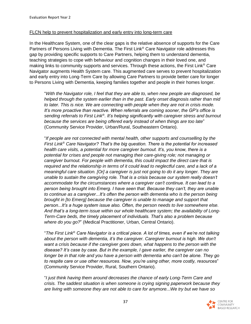#### FLCN help to prevent hospitalization and early entry into long-term care

In the Healthcare System, one of the clear gaps is the relative absence of supports for the Care Partners of Persons Living with Dementia. The First Link<sup>®</sup> Care Navigator role addresses this gap by providing specific supports to Care Partners, helping them to understand dementia, teaching strategies to cope with behaviour and cognition changes in their loved one, and making links to community supports and services. Through these actions, the First Link<sup>®</sup> Care Navigator augments Health System care. This augmented care serves to prevent hospitalization and early entry into Long-Term Care by allowing Care Partners to provide better care for longer to Persons Living with Dementia, keeping families together and people in their homes longer.

"*With the Navigator role, I feel that they are able to, when new people are diagnosed, be helped through the system earlier than in the past. Early onset diagnosis rather than mid to later. This is nice. We are connecting with people when they are not in crisis mode. It's more proactive than reactive. When referrals are coming sooner, the GP's office is sending referrals to First Link*® *. It's helping significantly with caregiver stress and burnout because the services are being offered early instead of when things are too late*" (Community Service Provider, Urban/Rural, Southeastern Ontario).

"*If people are not connected with mental health, other supports and counselling by the First Link*® *Care Navigator? That's the big question. There is the potential for increased health care visits, a potential for more caregiver burnout. It's, you know, there is a potential for crises and people not managing their care-giving role; not managing or caregiver burnout. For people with dementia, this could impact the direct care that is required and the relationship in terms of it could lead to neglectful care, and a lack of a meaningful care situation. [Or] a caregiver is just not going to do it any longer. They are unable to sustain the caregiving role. That is a crisis because our system really doesn't accommodate for the circumstances where a caregiver can't continue. It can lead to a person being brought into Emerg. I have seen that. Because they can't, they are unable to continue as a caregiver...It's often the person with dementia who is the person being brought in [to Emerg] because the caregiver is unable to manage and support that person...It's a huge system issue also. Often, the person needs to live somewhere else. And that's a long-term issue within our whole healthcare system; the availability of Long-Term-Care beds, the timely placement of individuals. That's also a problem because where do you go?*" (Medical Practitioner, Urban, Central Ontario).

"*The First Link*® *Care Navigator is a critical piece. A lot of times, even if we're not talking about the person with dementia, it's the caregiver. Caregiver burnout is high. We don't want a crisis because if the caregiver goes down, what happens to the person with the disease? It's case by case. But in the example, I gave earlier, the caregiver can no longer be in that role and you have a person with dementia who can't be alone. They go to respite care or use other resources. Now, you're using other, more costly, resources*" (Community Service Provider, Rural, Southern Ontario).

"*I just think having them around decreases the chance of early Long-Term Care and crisis. The saddest situation is when someone is crying signing paperwork because they are living with someone they are not able to care for anymore...We try but we have so* 

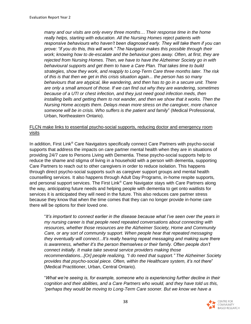*many and our visits are only every three months… Their response time in the home really helps, starting with education. All the Nursing Homes reject patients with responsive behaviours who haven't been diagnosed early. They will take them if you can prove: "if you do this, this will work." The Navigator makes this possible through their work; knowing how to de-escalate and the behaviour goes away. Often, at first, they are rejected from Nursing Homes. Then, we have to have the Alzheimer Society go in with behavioural supports and get them to have a Care Plan. That takes time to build strategies, show they work, and reapply to Long-Term Care three months later. The risk of this is that then we get in this crisis situation again... the person has so many behaviours that are atypical, like wandering, and then has to go in a secure unit. There are only a small amount of those. If we can find out why they are wandering, sometimes because of a UTI or chest infection, and they just need good infection meds, then installing bells and getting them to not wander, and then we show that it works. Then the Nursing Home accepts them. Delays mean more stress on the caregiver, more chance someone will be in crisis. Who suffers is the patient and family*" (Medical Professional, Urban, Northeastern Ontario).

#### FLCN make links to essential psycho-social supports, reducing doctor and emergency room visits

In addition, First Link<sup>®</sup> Care Navigators specifically connect Care Partners with psycho-social supports that address the impacts on care partner mental health when they are in situations of providing 24/7 care to Persons Living with Dementia. These psycho-social supports help to reduce the shame and stigma of living in a household with a person with dementia, supporting Care Partners to reach out to other caregivers in order to reduce isolation. This happens through direct psycho-social supports such as caregiver support groups and mental health counselling services. It also happens through Adult Day Programs, in-home respite supports, and personal support services. The First Link® Care Navigator stays with Care Partners along the way, anticipating future needs and helping people with dementia to get onto waitlists for services it is anticipated they will need in the future. This also reduces care partner stress because they know that when the time comes that they can no longer provide in-home care there will be options for their loved one.

"*It's important to connect earlier in the disease because what I've seen over the years in my nursing career is that people need repeated conversations about connecting with resources, whether those resources are the Alzheimer Society, Home and Community Care, or any sort of community support. When people hear that repeated messaging they eventually will connect...It's really hearing repeat messaging and making sure there is awareness, whether it's the person themselves or their family. Often people don't connect initially. It make take several service providers making those recommendations...[Or] people realizing, "I do need that support." The Alzheimer Socie*ty *provides that psycho-social piece. Often, within the Healthcare system, it's not there*" (Medical Practitioner, Urban, Central Ontario).

"*What we're seeing is, for example, someone who is experiencing further decline in their cognition and their abilities, and a Care Partners who would, and they have told us this, "perhaps they would be moving to Long-Term Care sooner. But we know we have a* 

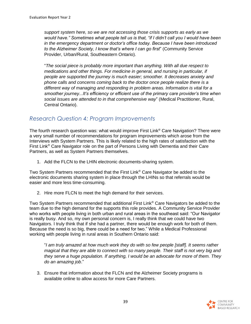*support system here, so we are not accessing those crisis supports as early as we would have." Sometimes what people tell us is that, "if I didn't call you I would have been in the emergency department or doctor's office today. Because I have been introduced to the Alzheimer Society, I know that's where I can go first*" (Community Service Provider, Urban/Rural, Southeastern Ontario).

"*The social piece is probably more important than anything. With all due respect to medications and other things. For medicine in general, and nursing in particular, if people are supported the journey is much easier; smoother. It decreases anxiety and phone calls and concerns coming back to the doctor once people realize there is a different way of managing and responding in problem areas. Information is vital for a smoother journey...It's efficiency or efficient use of the primary care provider's time when social issues are attended to in that comprehensive way*" (Medical Practitioner, Rural, Central Ontario).

## *Research Question 4: Program Improvements*

The fourth research question was: what would improve First Link® Care Navigation? There were a very small number of recommendations for program improvements which arose from the Interviews with System Partners. This is likely related to the high rates of satisfaction with the First Link® Care Navigator role on the part of Persons Living with Dementia and their Care Partners, as well as System Partners themselves.

1. Add the FLCN to the LHIN electronic documents-sharing system.

Two System Partners recommended that the First Link® Care Navigator be added to the electronic documents sharing system in place through the LHINs so that referrals would be easier and more less time-consuming.

2. Hire more FLCN to meet the high demand for their services.

Two System Partners recommended that additional First Link<sup>®</sup> Care Navigators be added to the team due to the high demand for the supports this role provides. A Community Service Provider who works with people living in both urban and rural areas in the southeast said: "Our Navigator is really busy. And so, my own personal concern is, I really think that we could have two Navigators. I truly think that if she had a partner, there would be enough work for both of them. Because the need is so big, there could be a need for two." While a Medical Professional working with people living in rural areas in Southern Ontario said:

"*I am truly amazed at how much work they do with so few people [staff]. It seems rather magical that they are able to connect with so many people. Their staff is not very big and they serve a huge population. If anything, I would be an advocate for more of them. They do an amazing job*."

3. Ensure that information about the FLCN and the Alzheimer Society programs is available online to allow access for more Care Partners.

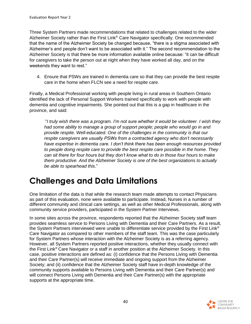Three System Partners made recommendations that related to challenges related to the wider Alzheimer Society rather than the First Link® Care Navigator specifically. One recommended that the name of the Alzheimer Society be changed because, "there is a stigma associated with Alzheimer's and people don't want to be associated with it." The second recommendation to the Alzheimer Society is that there be more information available online because: "it can be difficult for caregivers to take the person out at night when they have worked all day, and on the weekends they want to rest."

4. Ensure that PSWs are trained in dementia care so that they can provide the best respite care in the home when FLCN see a need for respite care.

Finally, a Medical Professional working with people living in rural areas in Southern Ontario identified the lack of Personal Support Workers trained specifically to work with people with dementia and cognitive impairments. She pointed out that this is a gap in healthcare in the province, and said:

"*I truly wish there was a program. I'm not sure whether it would be volunteer. I wish they had some ability to manage a group of support people; people who would go in and provide respite. Well-educated. One of the challenges in the community is that our respite caregivers are usually PSWs from a contracted agency who don't necessarily have expertise in dementia care. I don't think there has been enough resources provided to people doing respite care to provide the best respite care possible in the home. They can sit there for four hours but they don't know what to do in those four hours to make them productive. And the Alzheimer Society is one of the best organizations to actually be able to spearhead this*."

# **Challenges and Data Limitations**

One limitation of the data is that while the research team made attempts to contact Physicians as part of this evaluation, none were available to participate. Instead, Nurses in a number of different community and clinical care settings, as well as other Medical Professionals, along with community service providers, participated in the System Partner Interviews.

In some sites across the province, respondents reported that the Alzheimer Society staff team provides seamless service to Persons Living with Dementia and their Care Partners. As a result, the System Partners interviewed were unable to differentiate service provided by the First Link® Care Navigator as compared to other members of the staff team. This was the case particularly for System Partners whose interaction with the Alzheimer Society is as a referring agency. However, all System Partners reported positive interactions, whether they usually connect with the First Link® Care Navigator or a staff in another position at the Alzheimer Society. In this case, positive interactions are defined as: (i) confidence that the Persons Living with Dementia and their Care Partner(s) will receive immediate and ongoing support from the Alzheimer Society; and (ii) confidence that the Alzheimer Society staff have in-depth knowledge of the community supports available to Persons Living with Dementia and their Care Partner(s) and will connect Persons Living with Dementia and their Care Partner(s) with the appropriate supports at the appropriate time.

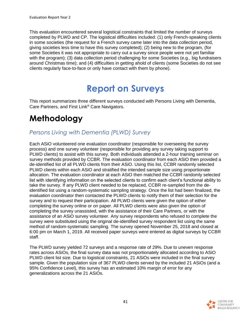This evaluation encountered several logistical constraints that limited the number of surveys completed by PLWD and CP. The logistical difficulties included: (1) only French-speaking clients in some societies (the request for a French survey came later into the data collection period, giving societies less time to have this survey completed); (2) being new to the program, (for some Societies it was not appropriate to carry out a survey since people were not yet familiar with the program); (3) data collection period challenging for some Societies (e.g., big fundraisers around Christmas time); and (4) difficulties in getting ahold of clients (some Societies do not see clients regularly face-to-face or only have contact with them by phone).

# **Report on Surveys**

This report summarizes three different surveys conducted with Persons Living with Dementia, Care Partners, and First Link® Care Navigators.

# **Methodology**

## *Persons Living with Dementia (PLWD) Survey*

Each ASiO volunteered one evaluation coordinator (responsible for overseeing the survey process) and one survey volunteer (responsible for providing any survey taking support to PLWD clients) to assist with this survey. Both individuals attended a 2-hour training seminar on survey methods provided by CCBR. The evaluation coordinator from each ASiO then provided a de-identified list of all PLWD clients from their ASiO. Using this list, CCBR randomly selected PLWD clients within each ASiO and stratified the intended sample size using proportionate allocation. The evaluation coordinator at each ASiO then matched the CCBR randomly selected list with identifying information on the selected clients to confirm each client's functional ability to take the survey. If any PLWD client needed to be replaced, CCBR re-sampled from the deidentified list using a random-systematic sampling strategy. Once the list had been finalized, the evaluation coordinator then contacted the PLWD clients to notify them of their selection for the survey and to request their participation. All PLWD clients were given the option of either completing the survey online or on paper. All PLWD clients were also given the option of completing the survey unassisted, with the assistance of their Care Partners, or with the assistance of an ASiO survey volunteer. Any survey respondents who refused to complete the survey were substituted using the original de-identified survey respondent list using the same method of random-systematic sampling. The survey opened November 25, 2018 and closed at 6:00 pm on March 1, 2019. All received paper surveys were entered as digital surveys by CCBR staff.

The PLWD survey yielded 72 surveys and a response rate of 29%. Due to uneven response rates across ASiOs, the final survey data was not proportionately allocated according to ASiO PLWD client list size. Due to logistical constraints, 21 ASiOs were included in the final survey sample. Given the population size of 367 PLWD clients served by the included 21 ASiOs (and a 95% Confidence Level), this survey has an estimated 10% margin of error for any generalizations across the 21 ASiOs.

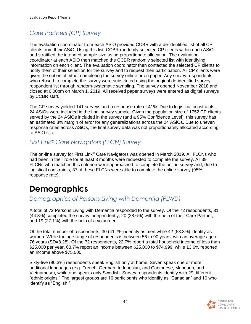## *Care Partners (CP) Survey*

The evaluation coordinator from each ASiO provided CCBR with a de-identified list of all CP clients from their ASiO. Using this list, CCBR randomly selected CP clients within each ASiO and stratified the intended sample size using proportionate allocation. The evaluation coordinator at each ASiO then matched the CCBR randomly selected list with identifying information on each client. The evaluation coordinator then contacted the selected CP clients to notify them of their selection for the survey and to request their participation. All CP clients were given the option of either completing the survey online or on paper. Any survey respondents who refused to complete the survey were substituted using the original de-identified survey respondent list through random-systematic sampling. The survey opened November 2018 and closed at 6:00pm on March 1, 2019. All received paper surveys were entered as digital surveys by CCBR staff.

The CP survey yielded 141 surveys and a response rate of 41%. Due to logistical constraints, 24 ASiOs were included in the final survey sample. Given the population size of 1752 CP clients served by the 24 ASiOs included in the survey (and a 95% Confidence Level), this survey has an estimated 8% margin of error for any generalizations across the 24 ASiOs. Due to uneven response rates across ASiOs, the final survey data was not proportionately allocated according to ASiO size.

## *First Link® Care Navigators (FLCN) Survey*

The on-line survey for First Link® Care Navigators was opened in March 2019. All FLCNs who had been in their role for at least 3 months were requested to complete the survey. All 39 FLCNs who matched this criterion were approached to complete the online survey and, due to logistical constraints, 37 of these FLCNs were able to complete the online survey (95% response rate).

# **Demographics**

## *Demographics of Persons Living with Dementia (PLWD)*

A total of 72 Persons Living with Dementia responded to the survey. Of the 72 respondents, 31 (44.3%) completed the survey independently, 20 (28.6%) with the help of their Care Partner, and 19 (27.1%) with the help of a volunteer.

Of the total number of respondents, 30 (41.7%) identify as men while 42 (58.3%) identify as women. While the age range of respondents is between 56 to 90 years, with an average age of 76 years (SD=8.28). Of the 72 respondents, 22.7% report a total household income of less than \$25,000 per year, 63.7% report an income between \$25,000 to \$74,999, while 13.6% reported an income above \$75,000.

Sixty-five (90.3%) respondents speak English only at home. Seven speak one or more additional languages (e.g. French, German, Indonesian, and Cantonese, Mandarin, and Vietnamese), while one speaks only Swedish. Survey respondents identify with 29 different "ethnic origins." The largest groups are 16 participants who identify as "Canadian" and 10 who identify as "English."

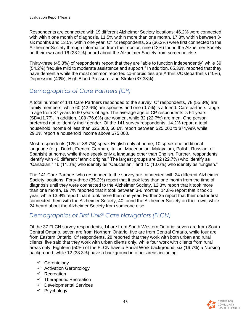Respondents are connected with 19 different Alzheimer Society locations; 46.2% were connected with within one month of diagnosis, 11.5% within more than one month, 17.3% within between 3 six months and 13.5% within one year. Of 72 respondents, 25 (36.2%) were first connected to the Alzheimer Society through information from their doctor, nine (13%) found the Alzheimer Society on their own and 16 (23.2%) heard about the Alzheimer Society from someone else.

Thirty-three (45.8%) of respondents report that they are "able to function independently" while 39 (54.2%) "require mild to moderate assistance and support." In addition, 65.33% reported that they have dementia while the most common reported co-morbidities are Arthritis/Osteoarthritis (40%), Depression (40%), High Blood Pressure, and Stroke (37.33%).

## *Demographics of Care Partners (CP)*

A total number of 141 Care Partners responded to the survey. Of respondents, 78 (55.3%) are family members, while 60 (42.6%) are spouses and one (0.7%) is a friend. Care partners range in age from 37 years to 90 years of age. The average age of CP respondents is 64 years (SD=11.77). In addition, 108 (76.6%) are women, while 32 (22.7%) are men. One person preferred not to identify their gender. Of the 141 survey respondents, 14.2% report a total household income of less than \$25,000, 56.6% report between \$25,000 to \$74,999, while 29.2% report a household income above \$75,000.

Most respondents (125 or 88.7%) speak English only at home; 10 speak one additional language (e.g., Dutch, French, German, Italian, Macedonian, Malayalam, Polish, Russian, or Spanish) at home, while three speak only a language other than English. Further, respondents identify with 40 different "ethnic origins." The largest groups are 32 (22.7%) who identify as "Canadian," 16 (11.3%) who identify as "Caucasian," and 15 (10.6%) who identify as "English."

The 141 Care Partners who responded to the survey are connected with 24 different Alzheimer Society locations. Forty-three (35.2%) report that it took less than one month from the time of diagnosis until they were connected to the Alzheimer Society, 12.3% report that it took more than one month, 19.7% reported that it took between 3-6 months, 14.8% report that it took 1 year, while 13.9% report that it took more than one year. Further 35 report that their doctor first connected them with the Alzheimer Society, 40 found the Alzheimer Society on their own, while 24 heard about the Alzheimer Society from someone else.

## *Demographics of First Link® Care Navigators (FLCN)*

Of the 37 FLCN survey respondents, 14 are from South Western Ontario, seven are from South Central Ontario, seven are from Northern Ontario, five are from Central Ontario, while four are from Eastern Ontario. Of respondents, 28 reported that they work with both urban and rural clients, five said that they work with urban clients only, while four work with clients from rural areas only. Eighteen (50%) of the FLCN have a Social Work background, six (16.7%) a Nursing background, while 12 (33.3%) have a background in other areas including:

- ✓ Gerontology
- ✓ Activation Gerontology
- ✓ Recreation
- $\checkmark$  Therapeutic Recreation
- $\checkmark$  Developmental Services
- ✓ Psychology

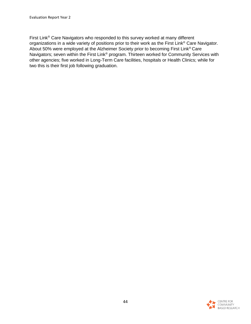First Link® Care Navigators who responded to this survey worked at many different organizations in a wide variety of positions prior to their work as the First Link® Care Navigator. About 50% were employed at the Alzheimer Society prior to becoming First Link® Care Navigators; seven within the First Link® program. Thirteen worked for Community Services with other agencies; five worked in Long-Term Care facilities, hospitals or Health Clinics; while for two this is their first job following graduation.

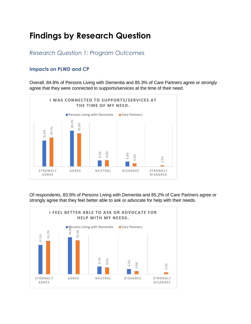# **Findings by Research Question**

*Research Question 1: Program Outcomes*

#### **Impacts on PLWD and CP**

Overall, 84.8% of Persons Living with Dementia and 85.3% of Care Partners agree or strongly agree that they were connected to supports/services at the time of their need.



Of respondents, 83.9% of Persons Living with Dementia and 85.2% of Care Partners agree or

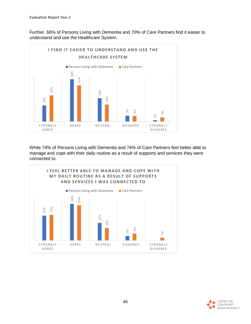Further, 66% of Persons Living with Dementia and 70% of Care Partners find it easier to understand and use the Healthcare System.



While 74% of Persons Living with Dementia and 74% of Care Partners feel better able to manage and cope with their daily routine as a result of supports and services they were



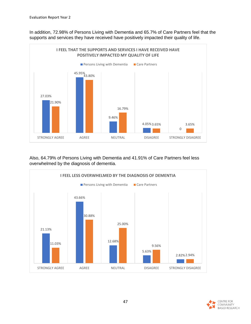In addition, 72.98% of Persons Living with Dementia and 65.7% of Care Partners feel that the supports and services they have received have positively impacted their quality of life.



Also, 64.79% of Persons Living with Dementia and 41.91% of Care Partners feel less overwhelmed by the diagnosis of dementia.



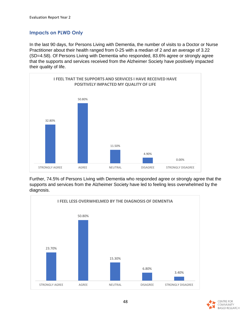#### **Impacts on PLWD Only**

In the last 90 days, for Persons Living with Dementia, the number of visits to a Doctor or Nurse Practitioner about their health ranged from 0-25 with a median of 2 and an average of 3.22 (SD=4.58). Of Persons Living with Dementia who responded, 83.6% agree or strongly agree that the supports and services received from the Alzheimer Society have positively impacted their quality of life.



Further, 74.5% of Persons Living with Dementia who responded agree or strongly agree that the supports and services from the Alzheimer Society have led to feeling less overwhelmed by the diagnosis.



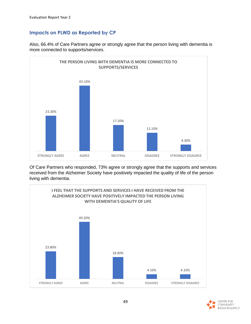### **Impacts on PLWD as Reported by CP**



Also, 66.4% of Care Partners agree or strongly agree that the person living with dementia is more connected to supports/services.

Of Care Partners who responded, 73% agree or strongly agree that the supports and services received from the Alzheimer Society have positively impacted the quality of life of the person living with dementia.



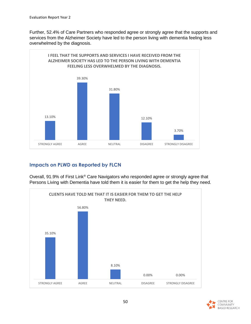Further, 52.4% of Care Partners who responded agree or strongly agree that the supports and services from the Alzheimer Society have led to the person living with dementia feeling less overwhelmed by the diagnosis.



### **Impacts on PLWD as Reported by FLCN**

Overall, 91.9% of First Link® Care Navigators who responded agree or strongly agree that Persons Living with Dementia have told them it is easier for them to get the help they need.



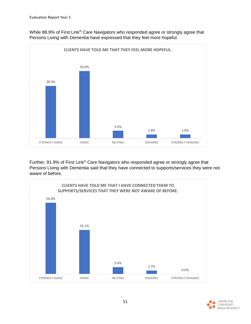

While 88.9% of First Link<sup>®</sup> Care Navigators who responded agree or strongly agree that Persons Living with Dementia have expressed that they feel more hopeful.

Further, 91.9% of First Link<sup>®</sup> Care Navigators who responded agree or strongly agree that Persons Living with Dementia said that they have connected to supports/services they were not aware of before.



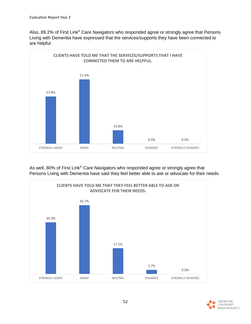Also, 89.2% of First Link® Care Navigators who responded agree or strongly agree that Persons Living with Dementia have expressed that the services/supports they have been connected to are helpful.



As well, 80% of First Link® Care Navigators who responded agree or strongly agree that Persons Living with Dementia have said they feel better able to ask or advocate for their needs.



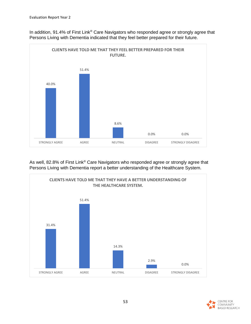

In addition, 91.4% of First Link® Care Navigators who responded agree or strongly agree that Persons Living with Dementia indicated that they feel better prepared for their future.

As well, 82.8% of First Link<sup>®</sup> Care Navigators who responded agree or strongly agree that Persons Living with Dementia report a better understanding of the Healthcare System.



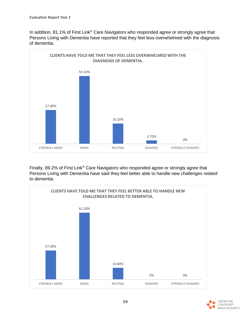In addition, 81.1% of First Link® Care Navigators who responded agree or strongly agree that Persons Living with Dementia have reported that they feel less overwhelmed with the diagnosis of dementia.



Finally, 89.2% of First Link® Care Navigators who responded agree or strongly agree that Persons Living with Dementia have said they feel better able to handle new challenges related to dementia.



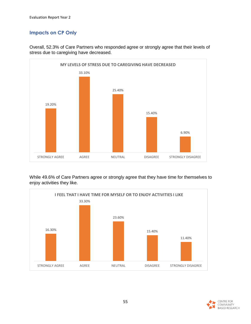### **Impacts on CP Only**



Overall, 52.3% of Care Partners who responded agree or strongly agree that their levels of stress due to caregiving have decreased.

While 49.6% of Care Partners agree or strongly agree that they have time for themselves to enjoy activities they like.



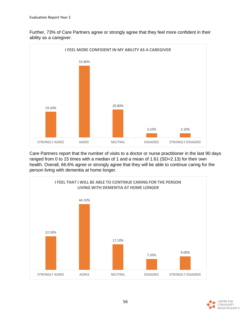Further, 73% of Care Partners agree or strongly agree that they feel more confident in their ability as a caregiver.



Care Partners report that the number of visits to a doctor or nurse practitioner in the last 90 days ranged from 0 to 15 times with a median of 1 and a mean of 1.61 (SD=2.13) for their own health. Overall, 66.6% agree or strongly agree that they will be able to continue caring for the person living with dementia at home longer.



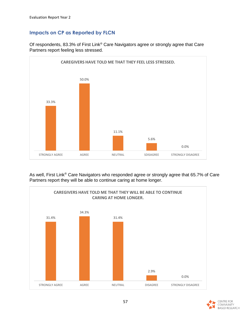### **Impacts on CP as Reported by FLCN**



Of respondents, 83.3% of First Link<sup>®</sup> Care Navigators agree or strongly agree that Care Partners report feeling less stressed.

As well, First Link<sup>®</sup> Care Navigators who responded agree or strongly agree that 65.7% of Care Partners report they will be able to continue caring at home longer.



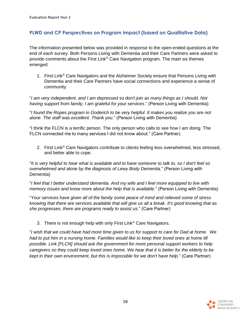#### **PLWD and CP Perspectives on Program Impact (based on Qualitative Data)**

The information presented below was provided in response to the open-ended questions at the end of each survey. Both Persons Living with Dementia and their Care Partners were asked to provide comments about the First Link® Care Navigation program. The main six themes emerged:

1. First Link® Care Navigators and the Alzheimer Society ensure that Persons Living with Dementia and their Care Partners have social connections and experience a sense of community.

"*I am very independent, and I am depressed so don't join as many things as I should. Not having support from family, I am grateful for your services*." (Person Living with Dementia)

"*I found the Ropes program in Goderich to be very helpful. It makes you realize you are not alone. The staff was excellent. Thank you*." (Person Living with Dementia)

"I think the FLCN is a terrific person. The only person who calls to see how I am doing. The FLCN connected me to many services I did not know about." (Care Partner)

2. First Link® Care Navigators contribute to clients feeling less overwhelmed, less stressed, and better able to cope.

"*It is very helpful to hear what is available and to have someone to talk to, so I don't feel so overwhelmed and alone by the diagnosis of Lewy Body Dementia*." (Person Living with Dementia)

"*I feel that I better understand dementia. And my wife and I feel more equipped to live with memory issues and know more about the help that is available.*" (Person Living with Dementia)

"*Your services have given all of the family some peace of mind and relieved some of stress knowing that there are services available that will give us all a break. It's good knowing that as she progresses, there are programs ready to assist us*." (Care Partner)

3. There is not enough help with only First Link® Care Navigators.

"*I wish that we could have had more time given to us for support to care for Dad at home. We had to put him in a nursing home. Families would like to keep their loved ones at home till possible. Link [FLCN] should ask the government for more personal support workers to help caregivers so they could keep loved ones home. We hear that it is better for the elderly to be kept in their own environment, but this is impossible for we don't have help*." (Care Partner)

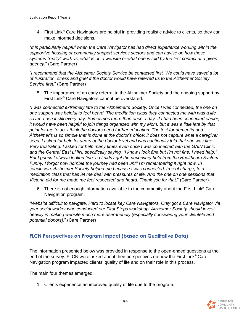4. First Link<sup>®</sup> Care Navigators are helpful in providing realistic advice to clients, so they can make informed decisions.

"*It is particularly helpful when the Care Navigator has had direct experience working within the supportive housing or community support services sectors and can advise on how these systems "really" work vs. what is on a website or what one is told by the first contact at a given agency*." (Care Partner)

"*I recommend that the Alzheimer Society Service be contacted first. We could have saved a lot of frustration, stress and grief if the doctor would have referred us to the Alzheimer Society Service first*." (Care Partner)

5. The importance of an early referral to the Alzheimer Society and the ongoing support by First Link® Care Navigators cannot be overstated.

"*I was connected extremely late to the Alzheimer's Society. Once I was connected, the one on one support was helpful to feel heard. The meditation class they connected me with was a life saver. I use it still every day. Sometimes more than once a day. If I had been connected earlier,*  it would have been helpful to join things organized with my Mom, but it was a little late by that *point for me to do. I think the doctors need further education. The test for dementia and Alzheimer's is so simple that is done at the doctor's office; it does not capture what a caregiver sees. I asked for help for years at the doctor level and was continually told that she was fine. Very frustrating. I asked for help many times even once I was connected with the GAIN Clinic and the Central East LHIN, specifically saying, "I know I look fine but I'm not fine. I need help." But I guess I always looked fine, so I didn't get the necessary help from the Healthcare System. Funny, I forgot how horrible the journey had been until I'm remembering it right now. In conclusion, Alzheimer Society helped me because I was connected, free of charge, to a meditation class that has let me deal with pressures of life. And the one on one sessions that Victoria did for me made me feel respected and heard. Thank you for that*." (Care Partner)

6. There is not enough information available to the community about the First Link<sup>®</sup> Care Navigation program.

"*Website difficult to navigate. Hard to locate key Care Navigators. Only got a Care Navigator via your social worker who conducted our First Steps workshop. Alzheimer Society should invest heavily in making website much more user-friendly (especially considering your clientele and potential donors)*." (Care Partner)

### **FLCN Perspectives on Program Impact (based on Qualitative Data)**

The information presented below was provided in response to the open-ended questions at the end of the survey. FLCN were asked about their perspectives on how the First Link® Care Navigation program impacted clients' quality of life and on their role in this process.

The main four themes emerged:

1. Clients experience an improved quality of life due to the program.

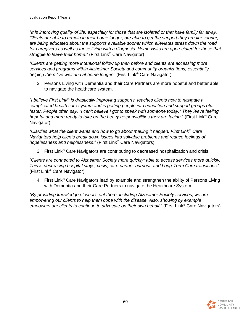"*It is improving quality of life, especially for those that are isolated or that have family far away. Clients are able to remain in their home longer, are able to get the support they require sooner, are being educated about the supports available sooner which alleviates stress down the road for caregivers as well as those living with a diagnosis. Home visits are appreciated for those that struggle to leave their home*." (First Link® Care Navigator)

"*Clients are getting more intentional follow up than before and clients are accessing more services and programs within Alzheimer Society and community organizations, essentially helping them live well and at home longer*." (First Link® Care Navigator)

2. Persons Living with Dementia and their Care Partners are more hopeful and better able to navigate the healthcare system.

"*I believe First Link*® *is drastically improving supports, teaches clients how to navigate a complicated health care system and is getting people into education and support groups etc.*  faster. People often say, "I can't believe I got to speak with someone today." They leave feeling *hopeful and more ready to take on the heavy responsibilities they are facing*." (First Link® Care Navigator)

"*Clarifies what the client wants and how to go about making it happen. First Link*® *Care Navigators help clients break down issues into solvable problems and reduce feelings of hopelessness and helplessness*." (First Link® Care Navigators)

3. First Link® Care Navigators are contributing to decreased hospitalization and crisis.

"*Clients are connected to Alzheimer Society more quickly; able to access services more quickly. This is decreasing hospital stays, crisis, care partner burnout, and Long-Term Care transitions*." (First Link® Care Navigator)

4. First Link<sup>®</sup> Care Navigators lead by example and strengthen the ability of Persons Living with Dementia and their Care Partners to navigate the Healthcare System.

"*By providing knowledge of what's out there, including Alzheimer Society services, we are empowering our clients to help them cope with the disease. Also, showing by example empowers our clients to continue to advocate on their own behalf*." (First Link® Care Navigators)

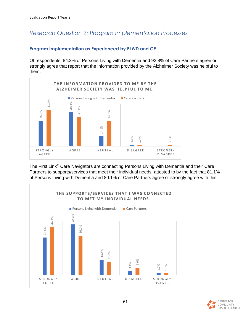## *Research Question 2: Program Implementation Processes*

#### **Program Implementation as Experienced by PLWD and CP**

Of respondents, 84.3% of Persons Living with Dementia and 92.8% of Care Partners agree or strongly agree that report that the information provided by the Alzheimer Society was helpful to them.



The First Link® Care Navigators are connecting Persons Living with Dementia and their Care Partners to supports/services that meet their individual needs, attested to by the fact that 81.1%



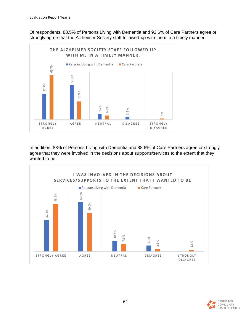Of respondents, 88.5% of Persons Living with Dementia and 92.6% of Care Partners agree or strongly agree that the Alzheimer Society staff followed-up with them in a timely manner.



In addition, 83% of Persons Living with Dementia and 88.6% of Care Partners agree or strongly agree that they were involved in the decisions about supports/services to the extent that they



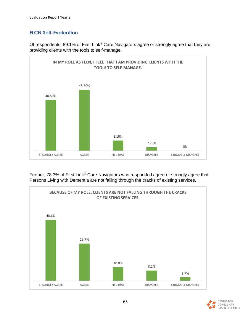#### **FLCN Self-Evaluation**

Of respondents, 89.1% of First Link® Care Navigators agree or strongly agree that they are providing clients with the tools to self-manage.



Further, 78.3% of First Link® Care Navigators who responded agree or strongly agree that Persons Living with Dementia are not falling through the cracks of existing services.



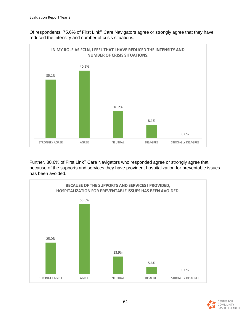Of respondents, 75.6% of First Link® Care Navigators agree or strongly agree that they have reduced the intensity and number of crisis situations.



Further, 80.6% of First Link® Care Navigators who responded agree or strongly agree that because of the supports and services they have provided, hospitalization for preventable issues has been avoided.



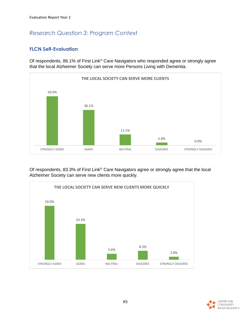## *Research Question 3: Program Context*

#### **FLCN Self-Evaluation**

Of respondents, 86.1% of First Link® Care Navigators who responded agree or strongly agree that the local Alzheimer Society can serve more Persons Living with Dementia.



Of respondents, 83.3% of First Link® Care Navigators agree or strongly agree that the local Alzheimer Society can serve new clients more quickly.



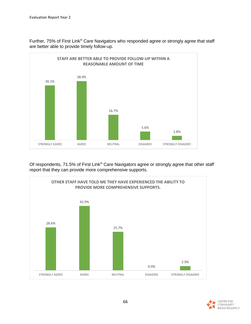



Of respondents, 71.5% of First Link® Care Navigators agree or strongly agree that other staff report that they can provide more comprehensive supports.



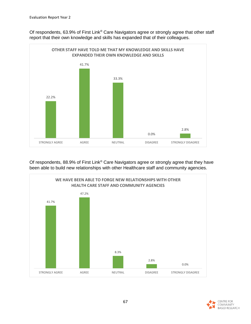Of respondents, 63.9% of First Link® Care Navigators agree or strongly agree that other staff report that their own knowledge and skills has expanded that of their colleagues.



Of respondents, 88.9% of First Link® Care Navigators agree or strongly agree that they have been able to build new relationships with other Healthcare staff and community agencies.



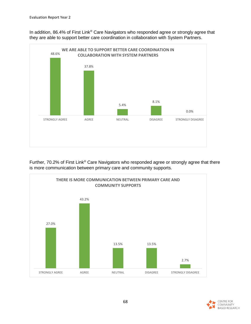In addition, 86.4% of First Link® Care Navigators who responded agree or strongly agree that they are able to support better care coordination in collaboration with System Partners.



Further, 70.2% of First Link<sup>®</sup> Care Navigators who responded agree or strongly agree that there is more communication between primary care and community supports.



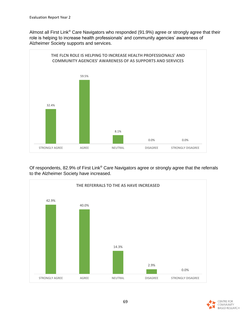Almost all First Link® Care Navigators who responded (91.9%) agree or strongly agree that their role is helping to increase health professionals' and community agencies' awareness of Alzheimer Society supports and services.



Of respondents, 82.9% of First Link® Care Navigators agree or strongly agree that the referrals to the Alzheimer Society have increased.



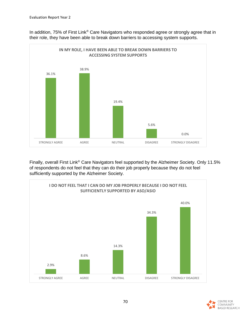

In addition, 75% of First Link® Care Navigators who responded agree or strongly agree that in their role, they have been able to break down barriers to accessing system supports.

Finally, overall First Link<sup>®</sup> Care Navigators feel supported by the Alzheimer Society. Only 11.5% of respondents do not feel that they can do their job properly because they do not feel sufficiently supported by the Alzheimer Society.



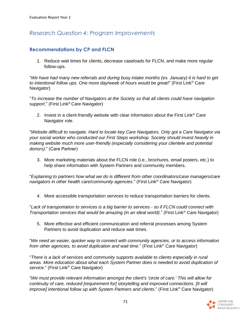## *Research Question 4: Program Improvements*

#### **Recommendations by CP and FLCN**

1. Reduce wait times for clients, decrease caseloads for FLCN, and make more regular follow-ups.

"*We have had many new referrals and during busy intake months (ex. January) it is hard to get to intentional follow ups. One more day/week of hours would be great!*" (First Link® Care Navigator)

"*To increase the number of Navigators at the Society so that all clients could have navigation support*." (First Link® Care Navigator)

2. Invest in a client-friendly website with clear information about the First Link® Care Navigator role.

"*Website difficult to navigate. Hard to locate key Care Navigators. Only got a Care Navigator via your social worker who conducted our First Steps workshop. Society should invest heavily in making website much more user-friendly (especially considering your clientele and potential donors)*." (Care Partner)

3. More marketing materials about the FLCN role (i.e., brochures, email posters, etc.) to help share information with System Partners and community members.

"*Explaining to partners how what we do is different from other coordinators/case managers/care navigators in other health care/community agencies*." (First Link® Care Navigator)

4. More accessible transportation services to reduce transportation barriers for clients.

"*Lack of transportation to services is a big barrier to services - so if FLCN could connect with Transportation services that would be amazing (in an ideal world)*." (First Link® Care Navigator)

5. More effective and efficient communication and referral processes among System Partners to avoid duplication and reduce wait times.

"*We need an easier, quicker way to connect with community agencies, or to access information from other agencies, to avoid duplication and wait time*." (First Link® Care Navigator)

"*There is a lack of services and community supports available to clients especially in rural areas. More education about what each System Partner does is needed to avoid duplication of service.*" (First Link® Care Navigator)

"*We must provide relevant information amongst the client's 'circle of care.' This will allow for continuity of care, reduced [requirement for] storytelling and improved connections. [It will improve] intentional follow up with System Partners and clients*." (First Link® Care Navigator)

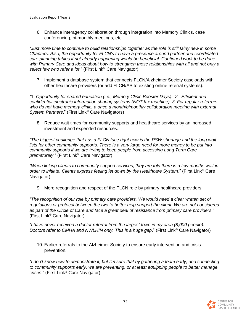6. Enhance interagency collaboration through integration into Memory Clinics, case conferencing, bi-monthly meetings, etc.

"*Just more time to continue to build relationships together as the role is still fairly new in some Chapters. Also, the opportunity for FLCN's to have a presence around partner and coordinated care planning tables if not already happening would be beneficial. Continued work to be done with Primary Care and ideas about how to strengthen those relationships with all and not only a select few who refer a lot*." (First Link® Care Navigator)

7. Implement a database system that connects FLCN/Alzheimer Society caseloads with other healthcare providers (or add FLCN/AS to existing online referral systems).

"1. *Opportunity for shared education (i.e., Memory Clinic Booster Days). 2. Efficient and confidential electronic information sharing systems (NOT fax machine). 3. For regular referrers who do not have memory clinic, a once a month/bimonthly collaboration meeting with external System Partners*." (First Link® Care Navigators)

8. Reduce wait times for community supports and healthcare services by an increased investment and expended resources.

"*The biggest challenge that I as a FLCN face right now is the PSW shortage and the long wait*  lists for other community supports. There is a very large need for more money to be put into *community supports if we are trying to keep people from accessing Long Term Care prematurely*." (First Link® Care Navigator)

"*When linking clients to community support services, they are told there is a few months wait in order to initiate. Clients express feeling let down by the Healthcare System*." (First Link® Care Navigator)

9. More recognition and respect of the FLCN role by primary healthcare providers.

"*The recognition of our role by primary care providers. We would need a clear written set of regulations or protocol between the two to better help support the client. We are not considered as part of the Circle of Care and face a great deal of resistance from primary care providers*." (First Link® Care Navigator)

"*I have never received a doctor referral from the largest town in my area (8,000 people). Doctors refer to CMHA and NWLHIN only. This is a huge gap*." (First Link® Care Navigator)

10. Earlier referrals to the Alzheimer Society to ensure early intervention and crisis prevention.

"*I don't know how to demonstrate it, but I'm sure that by gathering a team early, and connecting to community supports early, we are preventing, or at least equipping people to better manage, crises*." (First Link® Care Navigator)